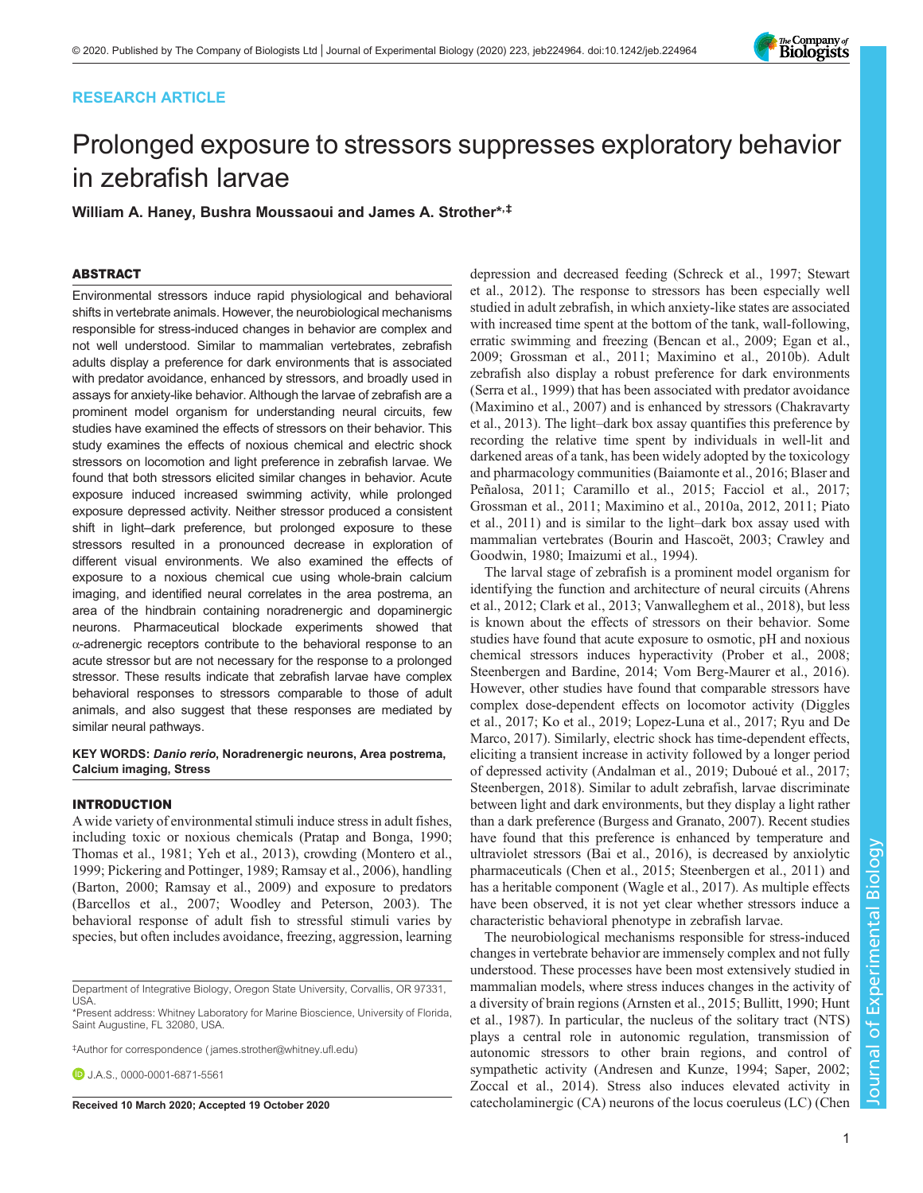## RESEARCH ARTICLE



# Prolonged exposure to stressors suppresses exploratory behavior in zebrafish larvae

William A. Haney, Bushra Moussaoui and James A. Strother\*,‡

## ABSTRACT

Environmental stressors induce rapid physiological and behavioral shifts in vertebrate animals. However, the neurobiological mechanisms responsible for stress-induced changes in behavior are complex and not well understood. Similar to mammalian vertebrates, zebrafish adults display a preference for dark environments that is associated with predator avoidance, enhanced by stressors, and broadly used in assays for anxiety-like behavior. Although the larvae of zebrafish are a prominent model organism for understanding neural circuits, few studies have examined the effects of stressors on their behavior. This study examines the effects of noxious chemical and electric shock stressors on locomotion and light preference in zebrafish larvae. We found that both stressors elicited similar changes in behavior. Acute exposure induced increased swimming activity, while prolonged exposure depressed activity. Neither stressor produced a consistent shift in light–dark preference, but prolonged exposure to these stressors resulted in a pronounced decrease in exploration of different visual environments. We also examined the effects of exposure to a noxious chemical cue using whole-brain calcium imaging, and identified neural correlates in the area postrema, an area of the hindbrain containing noradrenergic and dopaminergic neurons. Pharmaceutical blockade experiments showed that α-adrenergic receptors contribute to the behavioral response to an acute stressor but are not necessary for the response to a prolonged stressor. These results indicate that zebrafish larvae have complex behavioral responses to stressors comparable to those of adult animals, and also suggest that these responses are mediated by similar neural pathways.

#### KEY WORDS: Danio rerio, Noradrenergic neurons, Area postrema, Calcium imaging, Stress

## INTRODUCTION

A wide variety of environmental stimuli induce stress in adult fishes, including toxic or noxious chemicals ([Pratap and Bonga, 1990](#page-10-0); [Thomas et al., 1981](#page-11-0); [Yeh et al., 2013](#page-11-0)), crowding [\(Montero et al.,](#page-10-0) [1999](#page-10-0); [Pickering and Pottinger, 1989](#page-10-0); [Ramsay et al., 2006\)](#page-10-0), handling [\(Barton, 2000;](#page-9-0) [Ramsay et al., 2009\)](#page-10-0) and exposure to predators [\(Barcellos et al., 2007](#page-9-0); [Woodley and Peterson, 2003](#page-11-0)). The behavioral response of adult fish to stressful stimuli varies by species, but often includes avoidance, freezing, aggression, learning

‡ Author for correspondence ( [james.strother@whitney.ufl.edu](mailto:james.strother@whitney.ufl.edu))

**D.**J.A.S., [0000-0001-6871-5561](http://orcid.org/0000-0001-6871-5561)

depression and decreased feeding ([Schreck et al., 1997](#page-11-0); [Stewart](#page-11-0) [et al., 2012\)](#page-11-0). The response to stressors has been especially well studied in adult zebrafish, in which anxiety-like states are associated with increased time spent at the bottom of the tank, wall-following, erratic swimming and freezing ([Bencan et al., 2009](#page-9-0); [Egan et al.,](#page-9-0) [2009; Grossman et al., 2011;](#page-9-0) [Maximino et al., 2010b](#page-10-0)). Adult zebrafish also display a robust preference for dark environments [\(Serra et al., 1999](#page-11-0)) that has been associated with predator avoidance [\(Maximino et al., 2007](#page-10-0)) and is enhanced by stressors ([Chakravarty](#page-9-0) [et al., 2013\)](#page-9-0). The light–dark box assay quantifies this preference by recording the relative time spent by individuals in well-lit and darkened areas of a tank, has been widely adopted by the toxicology and pharmacology communities ([Baiamonte et al., 2016](#page-9-0); [Blaser and](#page-9-0) [Peñalosa, 2011](#page-9-0); [Caramillo et al., 2015; Facciol et al., 2017](#page-9-0); [Grossman et al., 2011;](#page-9-0) [Maximino et al., 2010a, 2012](#page-10-0), [2011](#page-10-0); [Piato](#page-10-0) [et al., 2011\)](#page-10-0) and is similar to the light–dark box assay used with mammalian vertebrates [\(Bourin and Hascoët, 2003](#page-9-0); [Crawley and](#page-9-0) [Goodwin, 1980](#page-9-0); [Imaizumi et al., 1994\)](#page-10-0).

The larval stage of zebrafish is a prominent model organism for identifying the function and architecture of neural circuits ([Ahrens](#page-9-0) [et al., 2012; Clark et al., 2013;](#page-9-0) [Vanwalleghem et al., 2018\)](#page-11-0), but less is known about the effects of stressors on their behavior. Some studies have found that acute exposure to osmotic, pH and noxious chemical stressors induces hyperactivity [\(Prober et al., 2008](#page-10-0); [Steenbergen and Bardine, 2014; Vom Berg-Maurer et al., 2016\)](#page-11-0). However, other studies have found that comparable stressors have complex dose-dependent effects on locomotor activity ([Diggles](#page-9-0) [et al., 2017;](#page-9-0) [Ko et al., 2019; Lopez-Luna et al., 2017;](#page-10-0) [Ryu and De](#page-11-0) [Marco, 2017](#page-11-0)). Similarly, electric shock has time-dependent effects, eliciting a transient increase in activity followed by a longer period of depressed activity ([Andalman et al., 2019; Duboué et al., 2017](#page-9-0); [Steenbergen, 2018\)](#page-11-0). Similar to adult zebrafish, larvae discriminate between light and dark environments, but they display a light rather than a dark preference [\(Burgess and Granato, 2007](#page-9-0)). Recent studies have found that this preference is enhanced by temperature and ultraviolet stressors [\(Bai et al., 2016\)](#page-9-0), is decreased by anxiolytic pharmaceuticals ([Chen et al., 2015](#page-9-0); [Steenbergen et al., 2011](#page-11-0)) and has a heritable component [\(Wagle et al., 2017\)](#page-11-0). As multiple effects have been observed, it is not yet clear whether stressors induce a characteristic behavioral phenotype in zebrafish larvae.

The neurobiological mechanisms responsible for stress-induced changes in vertebrate behavior are immensely complex and not fully understood. These processes have been most extensively studied in mammalian models, where stress induces changes in the activity of a diversity of brain regions ([Arnsten et al., 2015; Bullitt, 1990;](#page-9-0) [Hunt](#page-10-0) [et al., 1987\)](#page-10-0). In particular, the nucleus of the solitary tract (NTS) plays a central role in autonomic regulation, transmission of autonomic stressors to other brain regions, and control of sympathetic activity [\(Andresen and Kunze, 1994;](#page-9-0) [Saper, 2002](#page-11-0); [Zoccal et al., 2014\)](#page-11-0). Stress also induces elevated activity in Received 10 March 2020; Accepted 19 October 2020 catecholaminergic (CA) neurons of the locus coeruleus (LC) ([Chen](#page-9-0)

Department of Integrative Biology, Oregon State University, Corvallis, OR 97331, USA.

<sup>\*</sup>Present address: Whitney Laboratory for Marine Bioscience, University of Florida, Saint Augustine, FL 32080, USA.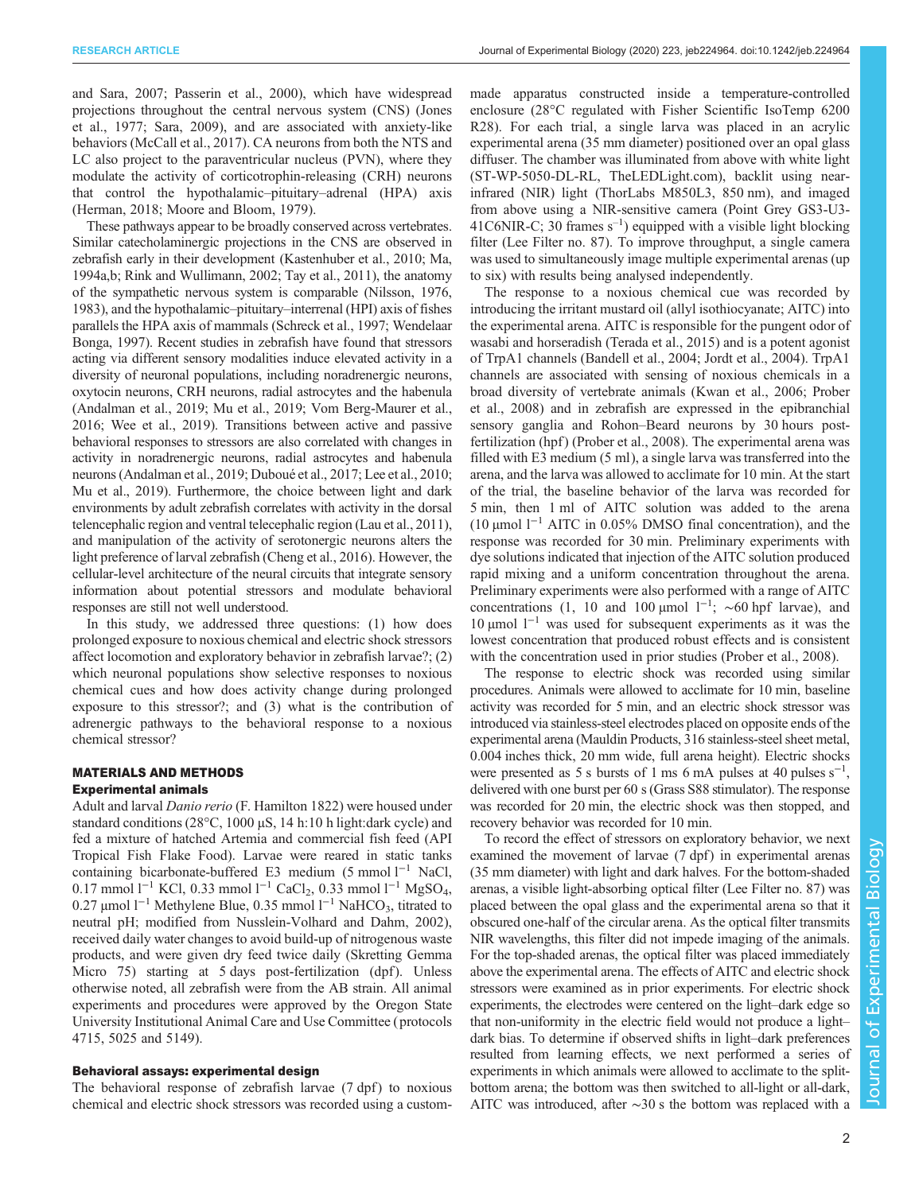[and Sara, 2007;](#page-9-0) [Passerin et al., 2000\)](#page-10-0), which have widespread projections throughout the central nervous system (CNS) ([Jones](#page-10-0) [et al., 1977](#page-10-0); [Sara, 2009](#page-11-0)), and are associated with anxiety-like behaviors [\(McCall et al., 2017\)](#page-10-0). CA neurons from both the NTS and LC also project to the paraventricular nucleus (PVN), where they modulate the activity of corticotrophin-releasing (CRH) neurons that control the hypothalamic–pituitary–adrenal (HPA) axis [\(Herman, 2018](#page-10-0); [Moore and Bloom, 1979](#page-10-0)).

These pathways appear to be broadly conserved across vertebrates. Similar catecholaminergic projections in the CNS are observed in zebrafish early in their development ([Kastenhuber et al., 2010; Ma,](#page-10-0) [1994a,b; Rink and Wullimann, 2002](#page-10-0); [Tay et al., 2011\)](#page-11-0), the anatomy of the sympathetic nervous system is comparable ([Nilsson, 1976,](#page-10-0) [1983\)](#page-10-0), and the hypothalamic–pituitary–interrenal (HPI) axis of fishes parallels the HPA axis of mammals [\(Schreck et al., 1997; Wendelaar](#page-11-0) [Bonga, 1997](#page-11-0)). Recent studies in zebrafish have found that stressors acting via different sensory modalities induce elevated activity in a diversity of neuronal populations, including noradrenergic neurons, oxytocin neurons, CRH neurons, radial astrocytes and the habenula [\(Andalman et al., 2019;](#page-9-0) [Mu et al., 2019;](#page-10-0) [Vom Berg-Maurer et al.,](#page-11-0) [2016; Wee et al., 2019\)](#page-11-0). Transitions between active and passive behavioral responses to stressors are also correlated with changes in activity in noradrenergic neurons, radial astrocytes and habenula neurons ([Andalman et al., 2019](#page-9-0); [Duboué et al., 2017;](#page-9-0) [Lee et al., 2010](#page-10-0); [Mu et al., 2019](#page-10-0)). Furthermore, the choice between light and dark environments by adult zebrafish correlates with activity in the dorsal telencephalic region and ventral telecephalic region ([Lau et al., 2011\)](#page-10-0), and manipulation of the activity of serotonergic neurons alters the light preference of larval zebrafish [\(Cheng et al., 2016\)](#page-9-0). However, the cellular-level architecture of the neural circuits that integrate sensory information about potential stressors and modulate behavioral responses are still not well understood.

In this study, we addressed three questions: (1) how does prolonged exposure to noxious chemical and electric shock stressors affect locomotion and exploratory behavior in zebrafish larvae?; (2) which neuronal populations show selective responses to noxious chemical cues and how does activity change during prolonged exposure to this stressor?; and (3) what is the contribution of adrenergic pathways to the behavioral response to a noxious chemical stressor?

# MATERIALS AND METHODS

## Experimental animals

Adult and larval Danio rerio (F. Hamilton 1822) were housed under standard conditions (28°C, 1000 µS, 14 h:10 h light:dark cycle) and fed a mixture of hatched Artemia and commercial fish feed (API Tropical Fish Flake Food). Larvae were reared in static tanks containing bicarbonate-buffered E3 medium (5 mmol l−<sup>1</sup> NaCl, 0.17 mmol l−<sup>1</sup> KCl, 0.33 mmol l−<sup>1</sup> CaCl2, 0.33 mmol l<sup>−</sup><sup>1</sup> MgSO4, 0.27 μmol l<sup>-1</sup> Methylene Blue, 0.35 mmol l<sup>-1</sup> NaHCO<sub>3</sub>, titrated to neutral pH; modified from [Nusslein-Volhard and Dahm, 2002\)](#page-10-0), received daily water changes to avoid build-up of nitrogenous waste products, and were given dry feed twice daily (Skretting Gemma Micro 75) starting at 5 days post-fertilization (dpf). Unless otherwise noted, all zebrafish were from the AB strain. All animal experiments and procedures were approved by the Oregon State University Institutional Animal Care and Use Committee ( protocols 4715, 5025 and 5149).

## Behavioral assays: experimental design

The behavioral response of zebrafish larvae (7 dpf) to noxious chemical and electric shock stressors was recorded using a custommade apparatus constructed inside a temperature-controlled enclosure (28°C regulated with Fisher Scientific IsoTemp 6200 R28). For each trial, a single larva was placed in an acrylic experimental arena (35 mm diameter) positioned over an opal glass diffuser. The chamber was illuminated from above with white light (ST-WP-5050-DL-RL, TheLEDLight.com), backlit using nearinfrared (NIR) light (ThorLabs M850L3, 850 nm), and imaged from above using a NIR-sensitive camera (Point Grey GS3-U3-  $41$ C6NIR-C; 30 frames  $s^{-1}$ ) equipped with a visible light blocking filter (Lee Filter no. 87). To improve throughput, a single camera was used to simultaneously image multiple experimental arenas (up to six) with results being analysed independently.

The response to a noxious chemical cue was recorded by introducing the irritant mustard oil (allyl isothiocyanate; AITC) into the experimental arena. AITC is responsible for the pungent odor of wasabi and horseradish ([Terada et al., 2015\)](#page-11-0) and is a potent agonist of TrpA1 channels [\(Bandell et al., 2004](#page-9-0); [Jordt et al., 2004](#page-10-0)). TrpA1 channels are associated with sensing of noxious chemicals in a broad diversity of vertebrate animals ([Kwan et al., 2006; Prober](#page-10-0) [et al., 2008\)](#page-10-0) and in zebrafish are expressed in the epibranchial sensory ganglia and Rohon–Beard neurons by 30 hours post-fertilization (hpf) ([Prober et al., 2008\)](#page-10-0). The experimental arena was filled with E3 medium (5 ml), a single larva was transferred into the arena, and the larva was allowed to acclimate for 10 min. At the start of the trial, the baseline behavior of the larva was recorded for 5 min, then 1 ml of AITC solution was added to the arena (10 µmol  $1^{-1}$  AITC in 0.05% DMSO final concentration), and the response was recorded for 30 min. Preliminary experiments with dye solutions indicated that injection of the AITC solution produced rapid mixing and a uniform concentration throughout the arena. Preliminary experiments were also performed with a range of AITC concentrations (1, 10 and 100 µmol  $1^{-1}$ ; ~60 hpf larvae), and 10 μmol  $1^{-1}$  was used for subsequent experiments as it was the lowest concentration that produced robust effects and is consistent with the concentration used in prior studies ([Prober et al., 2008\)](#page-10-0).

The response to electric shock was recorded using similar procedures. Animals were allowed to acclimate for 10 min, baseline activity was recorded for 5 min, and an electric shock stressor was introduced via stainless-steel electrodes placed on opposite ends of the experimental arena (Mauldin Products, 316 stainless-steel sheet metal, 0.004 inches thick, 20 mm wide, full arena height). Electric shocks were presented as 5 s bursts of 1 ms 6 mA pulses at 40 pulses  $s^{-1}$ , delivered with one burst per 60 s (Grass S88 stimulator). The response was recorded for 20 min, the electric shock was then stopped, and recovery behavior was recorded for 10 min.

To record the effect of stressors on exploratory behavior, we next examined the movement of larvae (7 dpf) in experimental arenas (35 mm diameter) with light and dark halves. For the bottom-shaded arenas, a visible light-absorbing optical filter (Lee Filter no. 87) was placed between the opal glass and the experimental arena so that it obscured one-half of the circular arena. As the optical filter transmits NIR wavelengths, this filter did not impede imaging of the animals. For the top-shaded arenas, the optical filter was placed immediately above the experimental arena. The effects of AITC and electric shock stressors were examined as in prior experiments. For electric shock experiments, the electrodes were centered on the light–dark edge so that non-uniformity in the electric field would not produce a light– dark bias. To determine if observed shifts in light–dark preferences resulted from learning effects, we next performed a series of experiments in which animals were allowed to acclimate to the splitbottom arena; the bottom was then switched to all-light or all-dark, AITC was introduced, after ∼30 s the bottom was replaced with a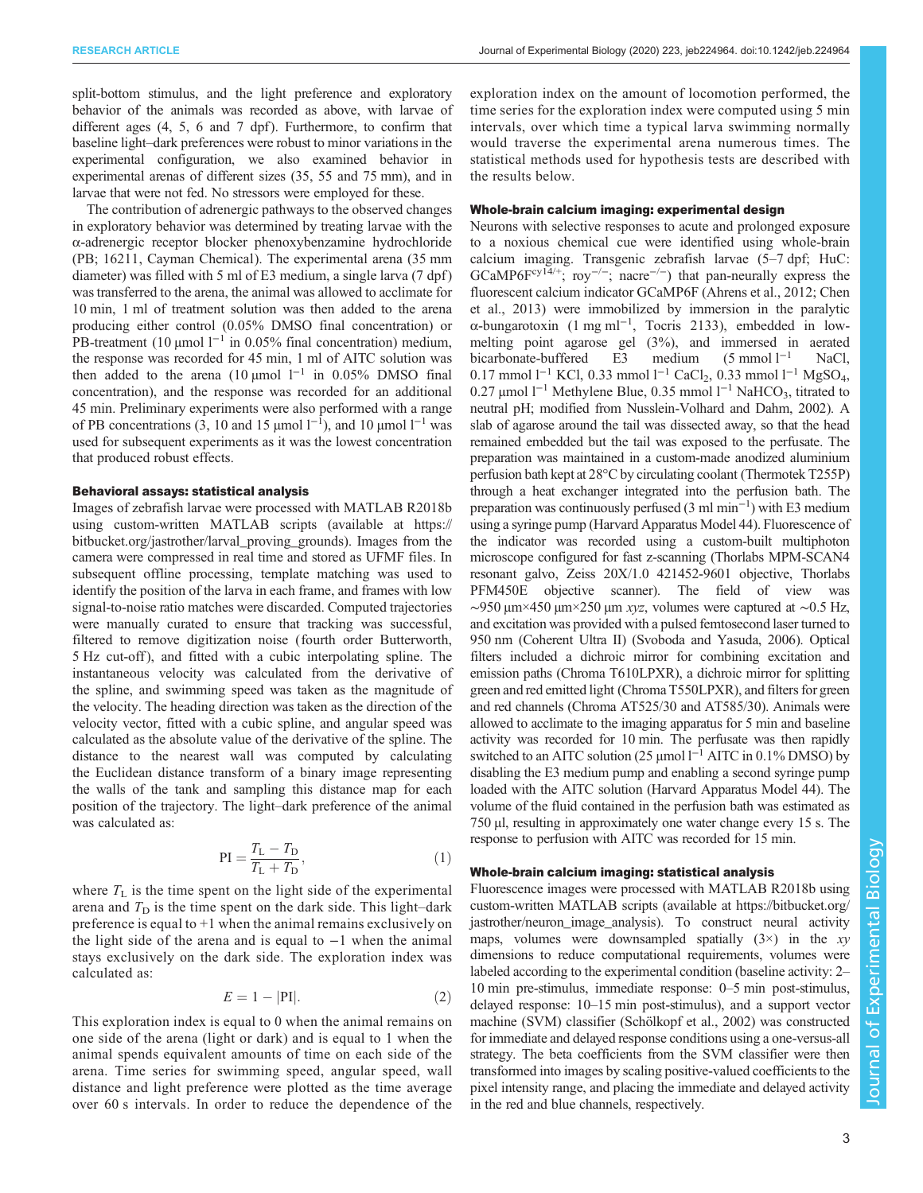split-bottom stimulus, and the light preference and exploratory behavior of the animals was recorded as above, with larvae of different ages  $(4, 5, 6, \text{ and } 7, \text{ dpf})$ . Furthermore, to confirm that baseline light–dark preferences were robust to minor variations in the experimental configuration, we also examined behavior in experimental arenas of different sizes (35, 55 and 75 mm), and in larvae that were not fed. No stressors were employed for these.

The contribution of adrenergic pathways to the observed changes in exploratory behavior was determined by treating larvae with the α-adrenergic receptor blocker phenoxybenzamine hydrochloride (PB; 16211, Cayman Chemical). The experimental arena (35 mm diameter) was filled with 5 ml of E3 medium, a single larva (7 dpf) was transferred to the arena, the animal was allowed to acclimate for 10 min, 1 ml of treatment solution was then added to the arena producing either control (0.05% DMSO final concentration) or PB-treatment (10 μmol l<sup>-1</sup> in 0.05% final concentration) medium, the response was recorded for 45 min, 1 ml of AITC solution was then added to the arena (10 µmol  $l^{-1}$  in 0.05% DMSO final concentration), and the response was recorded for an additional 45 min. Preliminary experiments were also performed with a range of PB concentrations (3, 10 and 15 µmol  $1^{-1}$ ), and 10 µmol  $1^{-1}$  was used for subsequent experiments as it was the lowest concentration that produced robust effects.

#### Behavioral assays: statistical analysis

Images of zebrafish larvae were processed with MATLAB R2018b using custom-written MATLAB scripts (available at [https://](https://bitbucket.org/jastrother/larval_proving_grounds) [bitbucket.org/jastrother/larval\\_proving\\_grounds](https://bitbucket.org/jastrother/larval_proving_grounds)). Images from the camera were compressed in real time and stored as UFMF files. In subsequent offline processing, template matching was used to identify the position of the larva in each frame, and frames with low signal-to-noise ratio matches were discarded. Computed trajectories were manually curated to ensure that tracking was successful, filtered to remove digitization noise (fourth order Butterworth, 5 Hz cut-off ), and fitted with a cubic interpolating spline. The instantaneous velocity was calculated from the derivative of the spline, and swimming speed was taken as the magnitude of the velocity. The heading direction was taken as the direction of the velocity vector, fitted with a cubic spline, and angular speed was calculated as the absolute value of the derivative of the spline. The distance to the nearest wall was computed by calculating the Euclidean distance transform of a binary image representing the walls of the tank and sampling this distance map for each position of the trajectory. The light–dark preference of the animal was calculated as:

$$
PI = \frac{T_L - T_D}{T_L + T_D},
$$
\n(1)

where  $T_L$  is the time spent on the light side of the experimental arena and  $T<sub>D</sub>$  is the time spent on the dark side. This light–dark preference is equal to +1 when the animal remains exclusively on the light side of the arena and is equal to −1 when the animal stays exclusively on the dark side. The exploration index was calculated as:

$$
E = 1 - |\mathbf{PI}|.\tag{2}
$$

This exploration index is equal to 0 when the animal remains on one side of the arena (light or dark) and is equal to 1 when the animal spends equivalent amounts of time on each side of the arena. Time series for swimming speed, angular speed, wall distance and light preference were plotted as the time average over 60 s intervals. In order to reduce the dependence of the exploration index on the amount of locomotion performed, the time series for the exploration index were computed using 5 min intervals, over which time a typical larva swimming normally would traverse the experimental arena numerous times. The statistical methods used for hypothesis tests are described with the results below.

#### Whole-brain calcium imaging: experimental design

Neurons with selective responses to acute and prolonged exposure to a noxious chemical cue were identified using whole-brain calcium imaging. Transgenic zebrafish larvae (5–7 dpf; HuC: GCaMP6Fcy<sup>14/+</sup>; roy<sup>-/-</sup>; nacre<sup>-/-</sup>) that pan-neurally express the fluorescent calcium indicator GCaMP6F ([Ahrens et al., 2012](#page-9-0); [Chen](#page-9-0) [et al., 2013](#page-9-0)) were immobilized by immersion in the paralytic α-bungarotoxin (1 mg ml−<sup>1</sup> , Tocris 2133), embedded in lowmelting point agarose gel (3%), and immersed in aerated bicarbonate-buffered E3 medium (5 mmol l−<sup>1</sup> NaCl, 0.17 mmol l<sup>-1</sup> KCl, 0.33 mmol l<sup>-1</sup> CaCl<sub>2</sub>, 0.33 mmol l<sup>-1</sup> MgSO<sub>4</sub>, 0.27 μmol l<sup>-1</sup> Methylene Blue, 0.35 mmol l<sup>-1</sup> NaHCO<sub>3</sub>, titrated to neutral pH; modified from [Nusslein-Volhard and Dahm, 2002](#page-10-0)). A slab of agarose around the tail was dissected away, so that the head remained embedded but the tail was exposed to the perfusate. The preparation was maintained in a custom-made anodized aluminium perfusion bath kept at 28°C by circulating coolant (Thermotek T255P) through a heat exchanger integrated into the perfusion bath. The preparation was continuously perfused (3 ml min<sup>-1</sup>) with E3 medium using a syringe pump (Harvard Apparatus Model 44). Fluorescence of the indicator was recorded using a custom-built multiphoton microscope configured for fast z-scanning (Thorlabs MPM-SCAN4 resonant galvo, Zeiss 20X/1.0 421452-9601 objective, Thorlabs PFM450E objective scanner). The field of view was  $\sim$ 950 μm×450 μm×250 μm *xyz*, volumes were captured at ~0.5 Hz, and excitation was provided with a pulsed femtosecond laser turned to 950 nm (Coherent Ultra II) [\(Svoboda and Yasuda, 2006](#page-11-0)). Optical filters included a dichroic mirror for combining excitation and emission paths (Chroma T610LPXR), a dichroic mirror for splitting green and red emitted light (Chroma T550LPXR), and filters for green and red channels (Chroma AT525/30 and AT585/30). Animals were allowed to acclimate to the imaging apparatus for 5 min and baseline activity was recorded for 10 min. The perfusate was then rapidly switched to an AITC solution (25 μmol l<sup>-1</sup> AITC in 0.1% DMSO) by disabling the E3 medium pump and enabling a second syringe pump loaded with the AITC solution (Harvard Apparatus Model 44). The volume of the fluid contained in the perfusion bath was estimated as 750 µl, resulting in approximately one water change every 15 s. The response to perfusion with AITC was recorded for 15 min.

## Whole-brain calcium imaging: statistical analysis

Fluorescence images were processed with MATLAB R2018b using custom-written MATLAB scripts (available at [https://bitbucket.org/](https://bitbucket.org/jastrother/neuron_image_analysis) jastrother/neuron image analysis). To construct neural activity maps, volumes were downsampled spatially  $(3\times)$  in the xy dimensions to reduce computational requirements, volumes were labeled according to the experimental condition (baseline activity: 2– 10 min pre-stimulus, immediate response: 0–5 min post-stimulus, delayed response: 10–15 min post-stimulus), and a support vector machine (SVM) classifier ([Schölkopf et al., 2002](#page-11-0)) was constructed for immediate and delayed response conditions using a one-versus-all strategy. The beta coefficients from the SVM classifier were then transformed into images by scaling positive-valued coefficients to the pixel intensity range, and placing the immediate and delayed activity in the red and blue channels, respectively.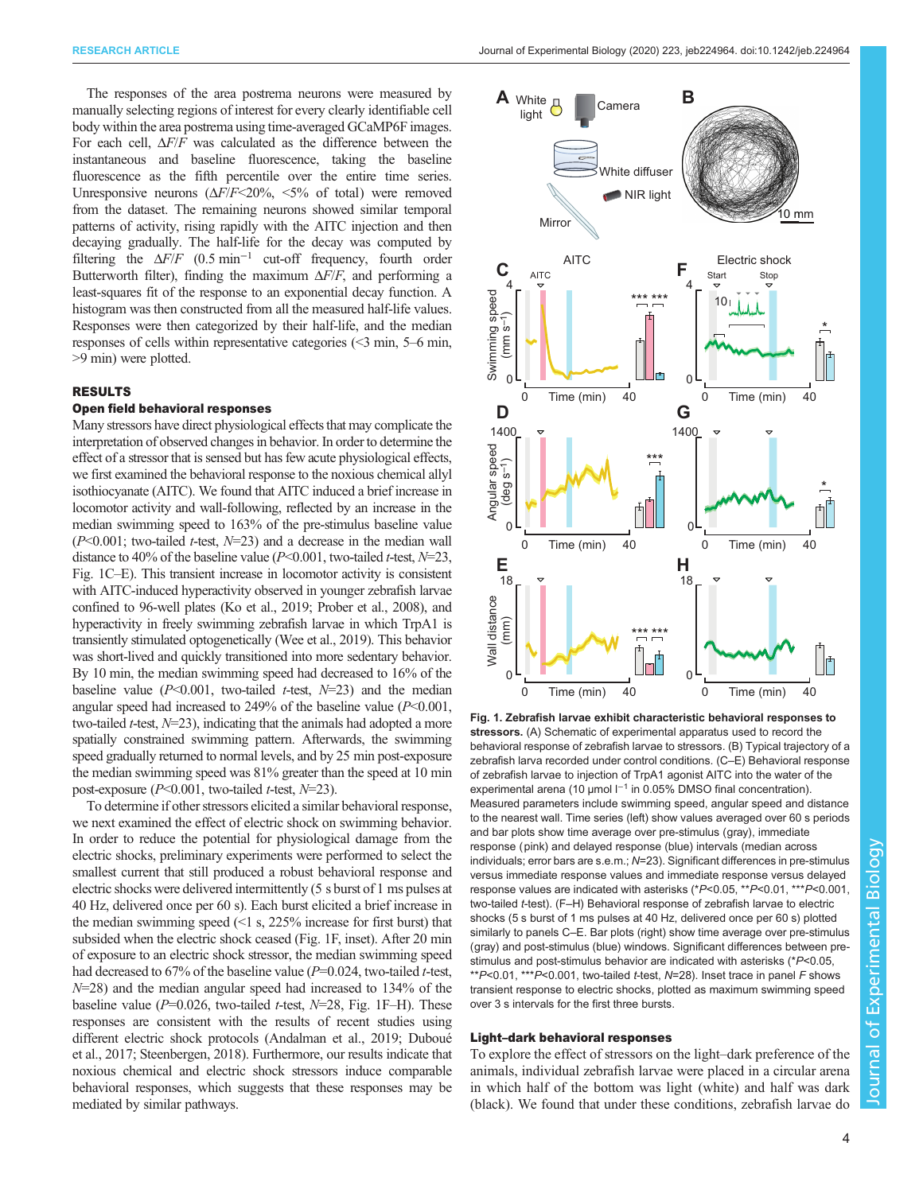<span id="page-3-0"></span>The responses of the area postrema neurons were measured by manually selecting regions of interest for every clearly identifiable cell body within the area postrema using time-averaged GCaMP6F images. For each cell,  $\Delta F/F$  was calculated as the difference between the instantaneous and baseline fluorescence, taking the baseline fluorescence as the fifth percentile over the entire time series. Unresponsive neurons  $(\Delta F/F \le 20\%, \le 5\%$  of total) were removed from the dataset. The remaining neurons showed similar temporal patterns of activity, rising rapidly with the AITC injection and then decaying gradually. The half-life for the decay was computed by filtering the  $\Delta F/F$  (0.5 min<sup>-1</sup> cut-off frequency, fourth order Butterworth filter), finding the maximum  $\Delta F/F$ , and performing a least-squares fit of the response to an exponential decay function. A histogram was then constructed from all the measured half-life values. Responses were then categorized by their half-life, and the median responses of cells within representative categories (<3 min, 5–6 min, >9 min) were plotted.

## RESULTS

## Open field behavioral responses

Many stressors have direct physiological effects that may complicate the interpretation of observed changes in behavior. In order to determine the effect of a stressor that is sensed but has few acute physiological effects, we first examined the behavioral response to the noxious chemical allyl isothiocyanate (AITC). We found that AITC induced a brief increase in locomotor activity and wall-following, reflected by an increase in the median swimming speed to 163% of the pre-stimulus baseline value  $(P<0.001$ ; two-tailed *t*-test,  $N=23$ ) and a decrease in the median wall distance to 40% of the baseline value ( $P<0.001$ , two-tailed t-test,  $N=23$ , Fig. 1C–E). This transient increase in locomotor activity is consistent with AITC-induced hyperactivity observed in younger zebrafish larvae confined to 96-well plates [\(Ko et al., 2019; Prober et al., 2008\)](#page-10-0), and hyperactivity in freely swimming zebrafish larvae in which TrpA1 is transiently stimulated optogenetically [\(Wee et al., 2019](#page-11-0)). This behavior was short-lived and quickly transitioned into more sedentary behavior. By 10 min, the median swimming speed had decreased to 16% of the baseline value ( $P<0.001$ , two-tailed t-test,  $N=23$ ) and the median angular speed had increased to 249% of the baseline value  $(P<0.001$ , two-tailed *t*-test,  $N=23$ ), indicating that the animals had adopted a more spatially constrained swimming pattern. Afterwards, the swimming speed gradually returned to normal levels, and by 25 min post-exposure the median swimming speed was 81% greater than the speed at 10 min post-exposure  $(P<0.001$ , two-tailed *t*-test,  $N=23$ ).

To determine if other stressors elicited a similar behavioral response, we next examined the effect of electric shock on swimming behavior. In order to reduce the potential for physiological damage from the electric shocks, preliminary experiments were performed to select the smallest current that still produced a robust behavioral response and electric shocks were delivered intermittently (5 s burst of 1 ms pulses at 40 Hz, delivered once per 60 s). Each burst elicited a brief increase in the median swimming speed  $(1 \text{ s}, 225\%$  increase for first burst) that subsided when the electric shock ceased (Fig. 1F, inset). After 20 min of exposure to an electric shock stressor, the median swimming speed had decreased to  $67\%$  of the baseline value ( $P=0.024$ , two-tailed t-test,  $N=28$ ) and the median angular speed had increased to 134% of the baseline value ( $P=0.026$ , two-tailed t-test,  $N=28$ , Fig. 1F–H). These responses are consistent with the results of recent studies using different electric shock protocols [\(Andalman et al., 2019](#page-9-0); [Duboué](#page-9-0) [et al., 2017](#page-9-0); [Steenbergen, 2018](#page-11-0)). Furthermore, our results indicate that noxious chemical and electric shock stressors induce comparable behavioral responses, which suggests that these responses may be mediated by similar pathways.



Fig. 1. Zebrafish larvae exhibit characteristic behavioral responses to stressors. (A) Schematic of experimental apparatus used to record the behavioral response of zebrafish larvae to stressors. (B) Typical trajectory of a zebrafish larva recorded under control conditions. (C–E) Behavioral response of zebrafish larvae to injection of TrpA1 agonist AITC into the water of the experimental arena (10 µmol l<sup>-1</sup> in 0.05% DMSO final concentration). Measured parameters include swimming speed, angular speed and distance to the nearest wall. Time series (left) show values averaged over 60 s periods and bar plots show time average over pre-stimulus (gray), immediate response (pink) and delayed response (blue) intervals (median across individuals; error bars are s.e.m.; N=23). Significant differences in pre-stimulus versus immediate response values and immediate response versus delayed response values are indicated with asterisks (\*P<0.05, \*\*P<0.01, \*\*\*P<0.001, two-tailed t-test). (F–H) Behavioral response of zebrafish larvae to electric shocks (5 s burst of 1 ms pulses at 40 Hz, delivered once per 60 s) plotted similarly to panels C–E. Bar plots (right) show time average over pre-stimulus (gray) and post-stimulus (blue) windows. Significant differences between prestimulus and post-stimulus behavior are indicated with asterisks (\*P<0.05, \*\*P<0.01, \*\*\*P<0.001, two-tailed t-test, N=28). Inset trace in panel F shows transient response to electric shocks, plotted as maximum swimming speed over 3 s intervals for the first three bursts.

#### Light–dark behavioral responses

To explore the effect of stressors on the light–dark preference of the animals, individual zebrafish larvae were placed in a circular arena in which half of the bottom was light (white) and half was dark (black). We found that under these conditions, zebrafish larvae do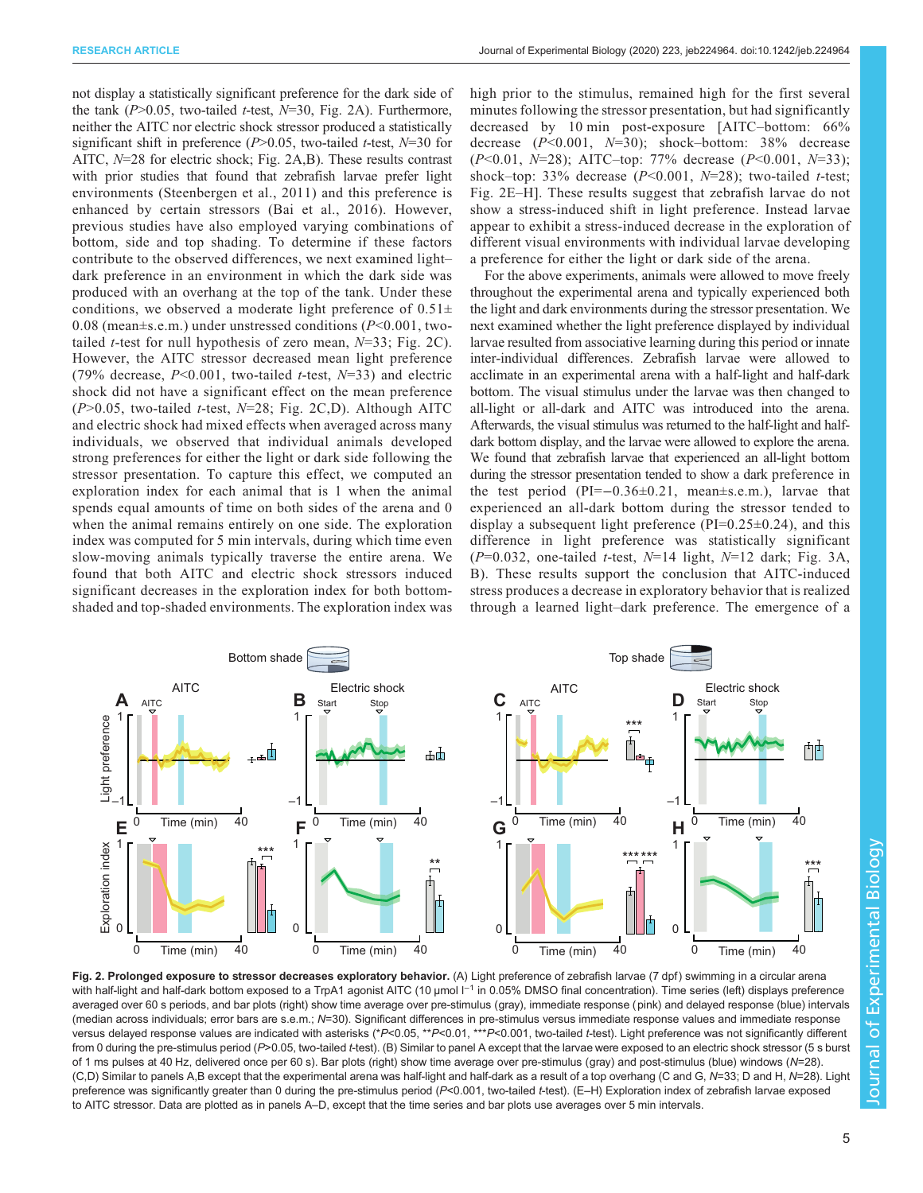<span id="page-4-0"></span>not display a statistically significant preference for the dark side of the tank  $(P>0.05$ , two-tailed *t*-test,  $N=30$ , Fig. 2A). Furthermore, neither the AITC nor electric shock stressor produced a statistically significant shift in preference ( $P > 0.05$ , two-tailed t-test,  $N=30$  for AITC, N=28 for electric shock; Fig. 2A,B). These results contrast with prior studies that found that zebrafish larvae prefer light environments [\(Steenbergen et al., 2011\)](#page-11-0) and this preference is enhanced by certain stressors [\(Bai et al., 2016\)](#page-9-0). However, previous studies have also employed varying combinations of bottom, side and top shading. To determine if these factors contribute to the observed differences, we next examined light– dark preference in an environment in which the dark side was produced with an overhang at the top of the tank. Under these conditions, we observed a moderate light preference of  $0.51\pm$ 0.08 (mean $\pm$ s.e.m.) under unstressed conditions ( $P$ <0.001, twotailed *t*-test for null hypothesis of zero mean,  $N=33$ ; Fig. 2C). However, the AITC stressor decreased mean light preference (79% decrease,  $P<0.001$ , two-tailed t-test,  $N=33$ ) and electric shock did not have a significant effect on the mean preference  $(P>0.05$ , two-tailed *t*-test, *N*=28; Fig. 2C,D). Although AITC and electric shock had mixed effects when averaged across many individuals, we observed that individual animals developed strong preferences for either the light or dark side following the stressor presentation. To capture this effect, we computed an exploration index for each animal that is 1 when the animal spends equal amounts of time on both sides of the arena and 0 when the animal remains entirely on one side. The exploration index was computed for 5 min intervals, during which time even slow-moving animals typically traverse the entire arena. We found that both AITC and electric shock stressors induced significant decreases in the exploration index for both bottomshaded and top-shaded environments. The exploration index was

high prior to the stimulus, remained high for the first several minutes following the stressor presentation, but had significantly decreased by 10 min post-exposure [AITC–bottom: 66% decrease  $(P<0.001, N=30)$ ; shock-bottom: 38% decrease  $(P<0.01, N=28)$ ; AITC-top: 77% decrease  $(P<0.001, N=33)$ ; shock–top: 33% decrease  $(P<0.001, N=28)$ ; two-tailed t-test; Fig. 2E–H]. These results suggest that zebrafish larvae do not show a stress-induced shift in light preference. Instead larvae appear to exhibit a stress-induced decrease in the exploration of different visual environments with individual larvae developing a preference for either the light or dark side of the arena.

For the above experiments, animals were allowed to move freely throughout the experimental arena and typically experienced both the light and dark environments during the stressor presentation. We next examined whether the light preference displayed by individual larvae resulted from associative learning during this period or innate inter-individual differences. Zebrafish larvae were allowed to acclimate in an experimental arena with a half-light and half-dark bottom. The visual stimulus under the larvae was then changed to all-light or all-dark and AITC was introduced into the arena. Afterwards, the visual stimulus was returned to the half-light and halfdark bottom display, and the larvae were allowed to explore the arena. We found that zebrafish larvae that experienced an all-light bottom during the stressor presentation tended to show a dark preference in the test period  $(PI=-0.36\pm0.21, \text{mean} \pm \text{s.e.m.})$ , larvae that experienced an all-dark bottom during the stressor tended to display a subsequent light preference  $(PI=0.25\pm0.24)$ , and this difference in light preference was statistically significant  $(P=0.032$ , one-tailed *t*-test,  $N=14$  light,  $N=12$  dark; [Fig. 3A](#page-5-0), B). These results support the conclusion that AITC-induced stress produces a decrease in exploratory behavior that is realized through a learned light–dark preference. The emergence of a



Fig. 2. Prolonged exposure to stressor decreases exploratory behavior. (A) Light preference of zebrafish larvae (7 dpf) swimming in a circular arena with half-light and half-dark bottom exposed to a TrpA1 agonist AITC (10 µmol  $l^{-1}$  in 0.05% DMSO final concentration). Time series (left) displays preference averaged over 60 s periods, and bar plots (right) show time average over pre-stimulus (gray), immediate response (pink) and delayed response (blue) intervals (median across individuals; error bars are s.e.m.; N=30). Significant differences in pre-stimulus versus immediate response values and immediate response versus delayed response values are indicated with asterisks (\*P<0.05, \*\*P<0.01, \*\*\*P<0.001, two-tailed t-test). Light preference was not significantly different from 0 during the pre-stimulus period (P>0.05, two-tailed t-test). (B) Similar to panel A except that the larvae were exposed to an electric shock stressor (5 s burst of 1 ms pulses at 40 Hz, delivered once per 60 s). Bar plots (right) show time average over pre-stimulus (gray) and post-stimulus (blue) windows (N=28). (C,D) Similar to panels A,B except that the experimental arena was half-light and half-dark as a result of a top overhang (C and G, N=33; D and H, N=28). Light preference was significantly greater than 0 during the pre-stimulus period (P<0.001, two-tailed t-test). (E-H) Exploration index of zebrafish larvae exposed to AITC stressor. Data are plotted as in panels A–D, except that the time series and bar plots use averages over 5 min intervals.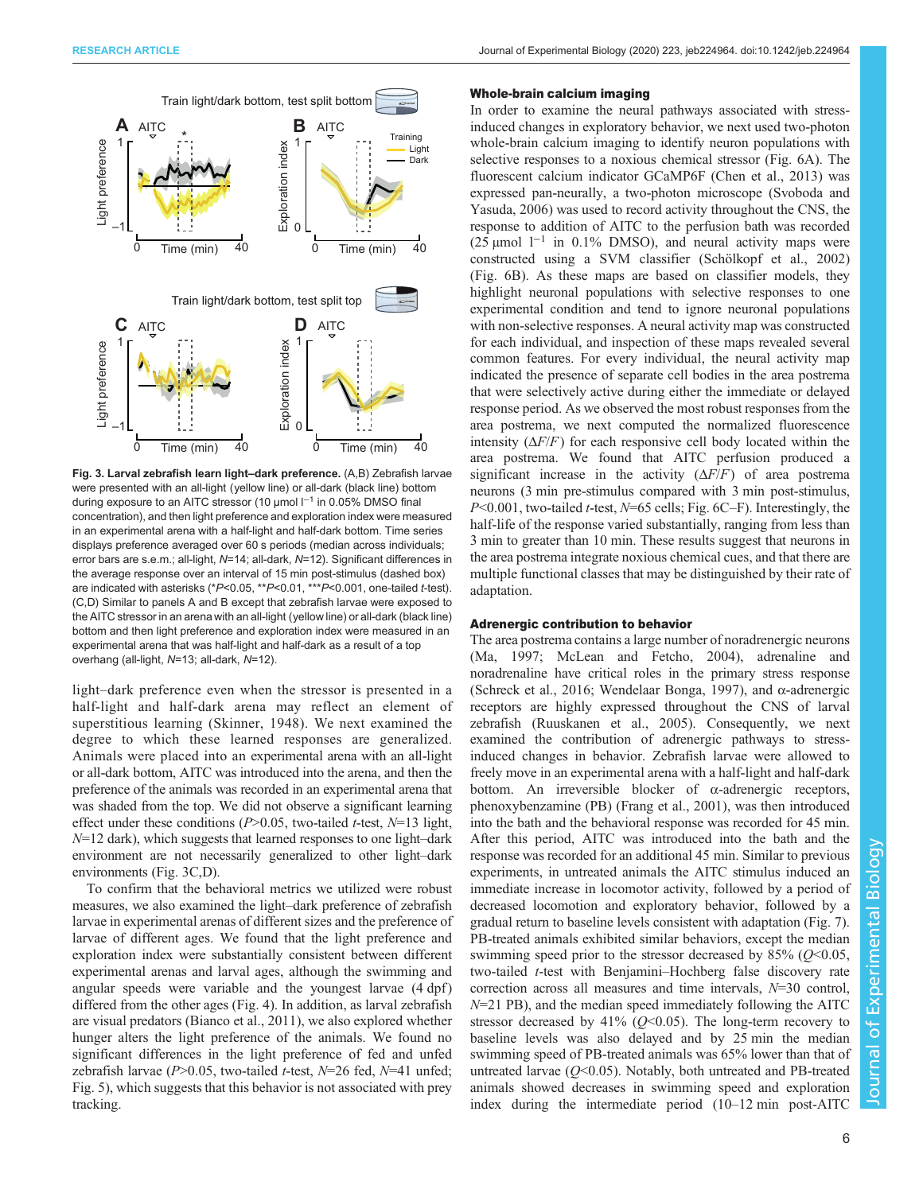<span id="page-5-0"></span>

Fig. 3. Larval zebrafish learn light–dark preference. (A,B) Zebrafish larvae were presented with an all-light (yellow line) or all-dark (black line) bottom during exposure to an AITC stressor (10 µmol l−<sup>1</sup> in 0.05% DMSO final concentration), and then light preference and exploration index were measured in an experimental arena with a half-light and half-dark bottom. Time series displays preference averaged over 60 s periods (median across individuals; error bars are s.e.m.; all-light, N=14; all-dark, N=12). Significant differences in the average response over an interval of 15 min post-stimulus (dashed box) are indicated with asterisks (\*P<0.05, \*\*P<0.01, \*\*\*P<0.001, one-tailed t-test). (C,D) Similar to panels A and B except that zebrafish larvae were exposed to the AITC stressor in an arena with an all-light (yellow line) or all-dark (black line) bottom and then light preference and exploration index were measured in an experimental arena that was half-light and half-dark as a result of a top overhang (all-light, N=13; all-dark, N=12).

light–dark preference even when the stressor is presented in a half-light and half-dark arena may reflect an element of superstitious learning ([Skinner, 1948\)](#page-11-0). We next examined the degree to which these learned responses are generalized. Animals were placed into an experimental arena with an all-light or all-dark bottom, AITC was introduced into the arena, and then the preference of the animals was recorded in an experimental arena that was shaded from the top. We did not observe a significant learning effect under these conditions ( $P > 0.05$ , two-tailed t-test,  $N=13$  light,  $N=12$  dark), which suggests that learned responses to one light-dark environment are not necessarily generalized to other light–dark environments (Fig. 3C,D).

To confirm that the behavioral metrics we utilized were robust measures, we also examined the light–dark preference of zebrafish larvae in experimental arenas of different sizes and the preference of larvae of different ages. We found that the light preference and exploration index were substantially consistent between different experimental arenas and larval ages, although the swimming and angular speeds were variable and the youngest larvae  $(4 \text{ dpf})$ differed from the other ages [\(Fig. 4](#page-6-0)). In addition, as larval zebrafish are visual predators [\(Bianco et al., 2011\)](#page-9-0), we also explored whether hunger alters the light preference of the animals. We found no significant differences in the light preference of fed and unfed zebrafish larvae (P>0.05, two-tailed t-test, N=26 fed, N=41 unfed; [Fig. 5\)](#page-7-0), which suggests that this behavior is not associated with prey tracking.

#### Whole-brain calcium imaging

In order to examine the neural pathways associated with stressinduced changes in exploratory behavior, we next used two-photon whole-brain calcium imaging to identify neuron populations with selective responses to a noxious chemical stressor ([Fig. 6A](#page-7-0)). The fluorescent calcium indicator GCaMP6F ([Chen et al., 2013\)](#page-9-0) was expressed pan-neurally, a two-photon microscope [\(Svoboda and](#page-11-0) [Yasuda, 2006\)](#page-11-0) was used to record activity throughout the CNS, the response to addition of AITC to the perfusion bath was recorded (25 µmol  $1^{-1}$  in 0.1% DMSO), and neural activity maps were constructed using a SVM classifier [\(Schölkopf et al., 2002\)](#page-11-0) [\(Fig. 6](#page-7-0)B). As these maps are based on classifier models, they highlight neuronal populations with selective responses to one experimental condition and tend to ignore neuronal populations with non-selective responses. A neural activity map was constructed for each individual, and inspection of these maps revealed several common features. For every individual, the neural activity map indicated the presence of separate cell bodies in the area postrema that were selectively active during either the immediate or delayed response period. As we observed the most robust responses from the area postrema, we next computed the normalized fluorescence intensity  $(\Delta F/F)$  for each responsive cell body located within the area postrema. We found that AITC perfusion produced a significant increase in the activity  $(\Delta F/F)$  of area postrema neurons (3 min pre-stimulus compared with 3 min post-stimulus,  $P<0.001$ , two-tailed *t*-test,  $N=65$  cells; [Fig. 6C](#page-7-0)–F). Interestingly, the half-life of the response varied substantially, ranging from less than 3 min to greater than 10 min. These results suggest that neurons in the area postrema integrate noxious chemical cues, and that there are multiple functional classes that may be distinguished by their rate of adaptation.

#### Adrenergic contribution to behavior

The area postrema contains a large number of noradrenergic neurons [\(Ma, 1997; McLean and Fetcho, 2004](#page-10-0)), adrenaline and noradrenaline have critical roles in the primary stress response [\(Schreck et al., 2016; Wendelaar Bonga, 1997\)](#page-11-0), and  $\alpha$ -adrenergic receptors are highly expressed throughout the CNS of larval zebrafish [\(Ruuskanen et al., 2005\)](#page-10-0). Consequently, we next examined the contribution of adrenergic pathways to stressinduced changes in behavior. Zebrafish larvae were allowed to freely move in an experimental arena with a half-light and half-dark bottom. An irreversible blocker of  $\alpha$ -adrenergic receptors, phenoxybenzamine (PB) ([Frang et al., 2001](#page-9-0)), was then introduced into the bath and the behavioral response was recorded for 45 min. After this period, AITC was introduced into the bath and the response was recorded for an additional 45 min. Similar to previous experiments, in untreated animals the AITC stimulus induced an immediate increase in locomotor activity, followed by a period of decreased locomotion and exploratory behavior, followed by a gradual return to baseline levels consistent with adaptation ([Fig. 7\)](#page-8-0). PB-treated animals exhibited similar behaviors, except the median swimming speed prior to the stressor decreased by  $85\%$  ( $Q<0.05$ , two-tailed *t*-test with Benjamini–Hochberg false discovery rate correction across all measures and time intervals, N=30 control,  $N=21$  PB), and the median speed immediately following the AITC stressor decreased by  $41\%$  ( $O<0.05$ ). The long-term recovery to baseline levels was also delayed and by 25 min the median swimming speed of PB-treated animals was 65% lower than that of untreated larvae  $(Q<0.05)$ . Notably, both untreated and PB-treated animals showed decreases in swimming speed and exploration index during the intermediate period (10–12 min post-AITC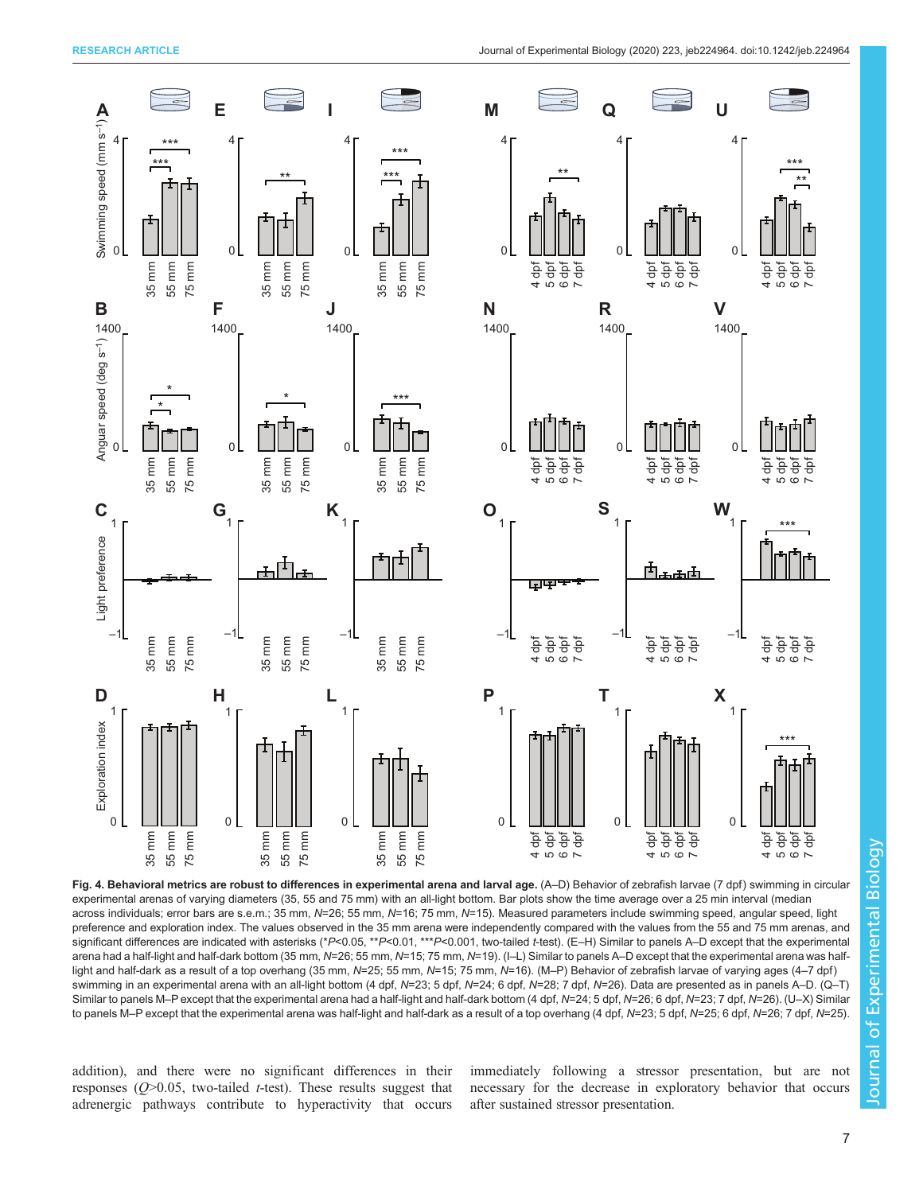<span id="page-6-0"></span>

Fig. 4. Behavioral metrics are robust to differences in experimental arena and larval age. (A–D) Behavior of zebrafish larvae (7 dpf) swimming in circular experimental arenas of varying diameters (35, 55 and 75 mm) with an all-light bottom. Bar plots show the time average over a 25 min interval (median across individuals; error bars are s.e.m.; 35 mm, N=26; 55 mm, N=16; 75 mm, N=15). Measured parameters include swimming speed, angular speed, light preference and exploration index. The values observed in the 35 mm arena were independently compared with the values from the 55 and 75 mm arenas, and significant differences are indicated with asterisks (\*P<0.05, \*\*P<0.01, \*\*\*P<0.001, two-tailed t-test). (E-H) Similar to panels A–D except that the experimental arena had a half-light and half-dark bottom (35 mm, N=26; 55 mm, N=15; 75 mm, N=19). (I–L) Similar to panels A–D except that the experimental arena was halflight and half-dark as a result of a top overhang (35 mm, N=25; 55 mm, N=15; 75 mm, N=16). (M-P) Behavior of zebrafish larvae of varying ages (4-7 dpf) swimming in an experimental arena with an all-light bottom (4 dpf, N=23; 5 dpf, N=24; 6 dpf, N=28; 7 dpf, N=26). Data are presented as in panels A–D. (Q–T) Similar to panels M–P except that the experimental arena had a half-light and half-dark bottom (4 dpf, N=24; 5 dpf, N=26; 6 dpf, N=23; 7 dpf, N=26). (U–X) Similar to panels M-P except that the experimental arena was half-light and half-dark as a result of a top overhang (4 dpf, N=23; 5 dpf, N=25; 6 dpf, N=26; 7 dpf, N=25).

addition), and there were no significant differences in their responses  $(Q>0.05$ , two-tailed *t*-test). These results suggest that adrenergic pathways contribute to hyperactivity that occurs

immediately following a stressor presentation, but are not necessary for the decrease in exploratory behavior that occurs after sustained stressor presentation.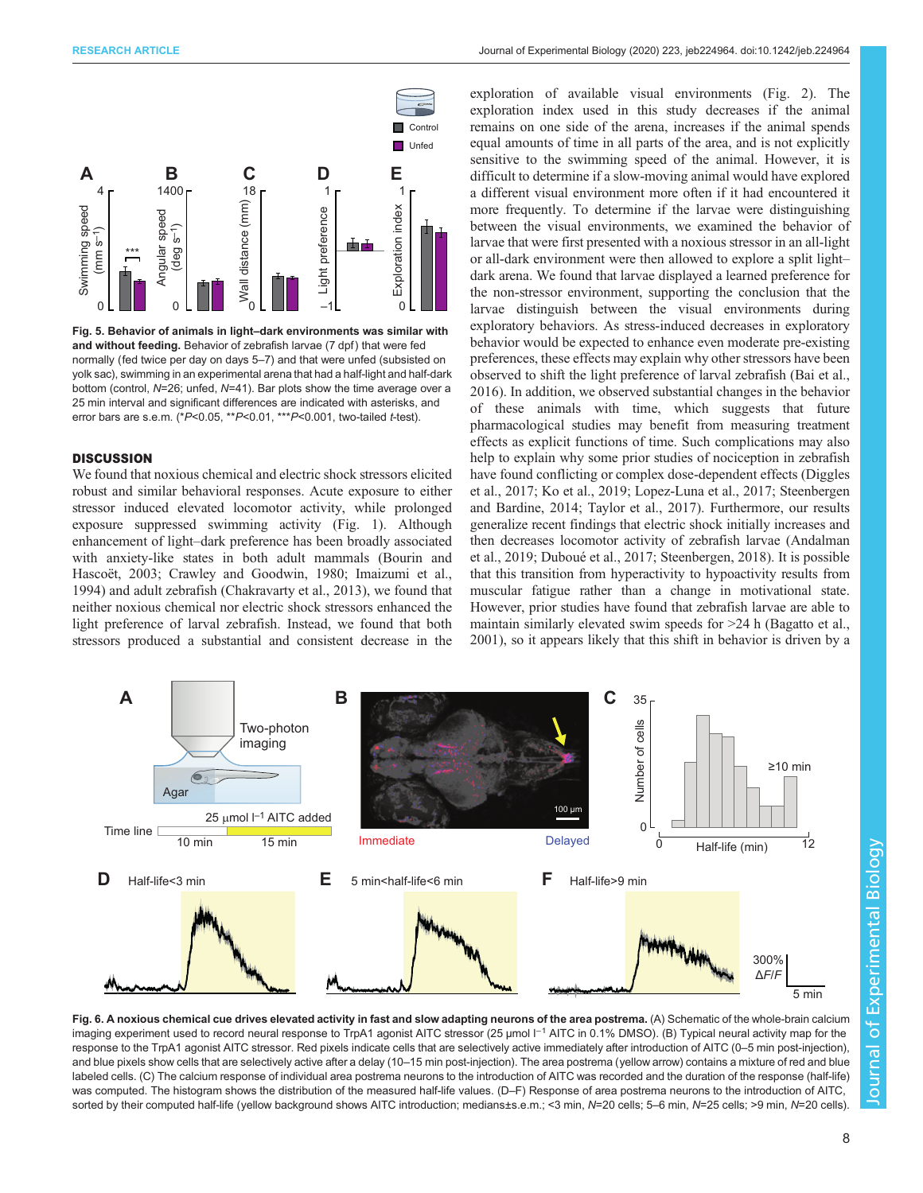<span id="page-7-0"></span>

Fig. 5. Behavior of animals in light–dark environments was similar with and without feeding. Behavior of zebrafish larvae (7 dpf) that were fed normally (fed twice per day on days 5–7) and that were unfed (subsisted on yolk sac), swimming in an experimental arena that had a half-light and half-dark bottom (control, N=26; unfed, N=41). Bar plots show the time average over a 25 min interval and significant differences are indicated with asterisks, and error bars are s.e.m. (\* $P$ <0.05, \*\* $P$ <0.01, \*\*\* $P$ <0.001, two-tailed t-test).

#### **DISCUSSION**

We found that noxious chemical and electric shock stressors elicited robust and similar behavioral responses. Acute exposure to either stressor induced elevated locomotor activity, while prolonged exposure suppressed swimming activity ([Fig. 1](#page-3-0)). Although enhancement of light–dark preference has been broadly associated with anxiety-like states in both adult mammals [\(Bourin and](#page-9-0) [Hascoët, 2003; Crawley and Goodwin, 1980](#page-9-0); [Imaizumi et al.,](#page-10-0) [1994](#page-10-0)) and adult zebrafish ([Chakravarty et al., 2013](#page-9-0)), we found that neither noxious chemical nor electric shock stressors enhanced the light preference of larval zebrafish. Instead, we found that both stressors produced a substantial and consistent decrease in the

exploration of available visual environments [\(Fig. 2](#page-4-0)). The exploration index used in this study decreases if the animal remains on one side of the arena, increases if the animal spends equal amounts of time in all parts of the area, and is not explicitly sensitive to the swimming speed of the animal. However, it is difficult to determine if a slow-moving animal would have explored a different visual environment more often if it had encountered it more frequently. To determine if the larvae were distinguishing between the visual environments, we examined the behavior of larvae that were first presented with a noxious stressor in an all-light or all-dark environment were then allowed to explore a split light– dark arena. We found that larvae displayed a learned preference for the non-stressor environment, supporting the conclusion that the larvae distinguish between the visual environments during exploratory behaviors. As stress-induced decreases in exploratory behavior would be expected to enhance even moderate pre-existing preferences, these effects may explain why other stressors have been observed to shift the light preference of larval zebrafish [\(Bai et al.,](#page-9-0) [2016\)](#page-9-0). In addition, we observed substantial changes in the behavior of these animals with time, which suggests that future pharmacological studies may benefit from measuring treatment effects as explicit functions of time. Such complications may also help to explain why some prior studies of nociception in zebrafish have found conflicting or complex dose-dependent effects ([Diggles](#page-9-0) [et al., 2017](#page-9-0); [Ko et al., 2019](#page-10-0); [Lopez-Luna et al., 2017](#page-10-0); [Steenbergen](#page-11-0) [and Bardine, 2014; Taylor et al., 2017](#page-11-0)). Furthermore, our results generalize recent findings that electric shock initially increases and then decreases locomotor activity of zebrafish larvae ([Andalman](#page-9-0) [et al., 2019; Duboué et al., 2017](#page-9-0); [Steenbergen, 2018\)](#page-11-0). It is possible that this transition from hyperactivity to hypoactivity results from muscular fatigue rather than a change in motivational state. However, prior studies have found that zebrafish larvae are able to maintain similarly elevated swim speeds for >24 h ([Bagatto et al.,](#page-9-0) [2001\)](#page-9-0), so it appears likely that this shift in behavior is driven by a



Fig. 6. A noxious chemical cue drives elevated activity in fast and slow adapting neurons of the area postrema. (A) Schematic of the whole-brain calcium imaging experiment used to record neural response to TrpA1 agonist AITC stressor (25 µmol I<sup>-1</sup> AITC in 0.1% DMSO). (B) Typical neural activity map for the response to the TrpA1 agonist AITC stressor. Red pixels indicate cells that are selectively active immediately after introduction of AITC (0–5 min post-injection), and blue pixels show cells that are selectively active after a delay (10–15 min post-injection). The area postrema (yellow arrow) contains a mixture of red and blue labeled cells. (C) The calcium response of individual area postrema neurons to the introduction of AITC was recorded and the duration of the response (half-life) was computed. The histogram shows the distribution of the measured half-life values. (D–F) Response of area postrema neurons to the introduction of AITC, sorted by their computed half-life (yellow background shows AITC introduction; medians±s.e.m.; <3 min, N=20 cells; 5–6 min, N=25 cells; >9 min, N=20 cells)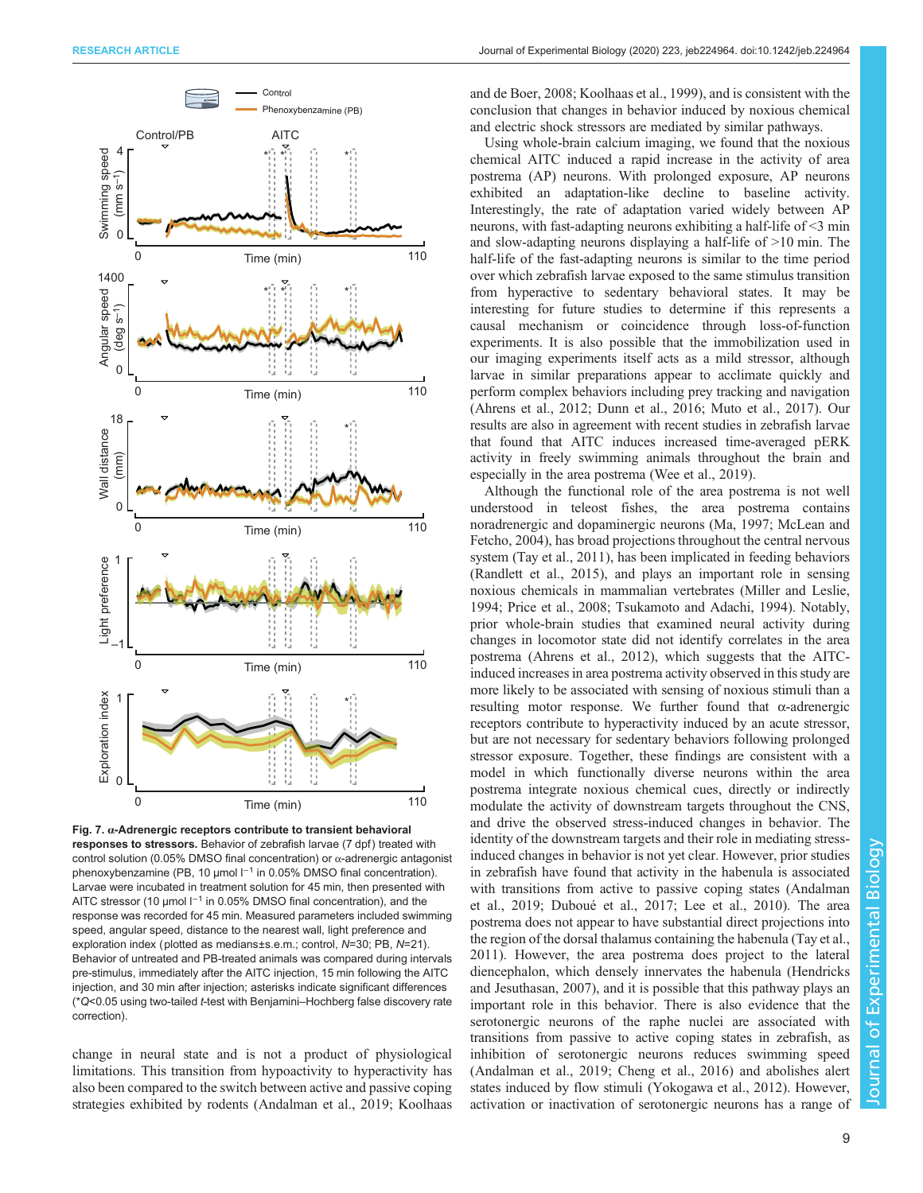<span id="page-8-0"></span>

Fig. 7.  $\alpha$ -Adrenergic receptors contribute to transient behavioral responses to stressors. Behavior of zebrafish larvae (7 dpf) treated with control solution (0.05% DMSO final concentration) or  $\alpha$ -adrenergic antagonist phenoxybenzamine (PB, 10 µmol l−<sup>1</sup> in 0.05% DMSO final concentration). Larvae were incubated in treatment solution for 45 min, then presented with AITC stressor (10 µmol l<sup>-1</sup> in 0.05% DMSO final concentration), and the response was recorded for 45 min. Measured parameters included swimming speed, angular speed, distance to the nearest wall, light preference and exploration index (plotted as medians±s.e.m.; control, N=30; PB, N=21). Behavior of untreated and PB-treated animals was compared during intervals pre-stimulus, immediately after the AITC injection, 15 min following the AITC injection, and 30 min after injection; asterisks indicate significant differences (\*Q<0.05 using two-tailed t-test with Benjamini–Hochberg false discovery rate correction).

change in neural state and is not a product of physiological limitations. This transition from hypoactivity to hyperactivity has also been compared to the switch between active and passive coping strategies exhibited by rodents [\(Andalman et al., 2019](#page-9-0); [Koolhaas](#page-10-0) [and de Boer, 2008](#page-10-0); [Koolhaas et al., 1999](#page-10-0)), and is consistent with the conclusion that changes in behavior induced by noxious chemical and electric shock stressors are mediated by similar pathways.

Using whole-brain calcium imaging, we found that the noxious chemical AITC induced a rapid increase in the activity of area postrema (AP) neurons. With prolonged exposure, AP neurons exhibited an adaptation-like decline to baseline activity. Interestingly, the rate of adaptation varied widely between AP neurons, with fast-adapting neurons exhibiting a half-life of <3 min and slow-adapting neurons displaying a half-life of >10 min. The half-life of the fast-adapting neurons is similar to the time period over which zebrafish larvae exposed to the same stimulus transition from hyperactive to sedentary behavioral states. It may be interesting for future studies to determine if this represents a causal mechanism or coincidence through loss-of-function experiments. It is also possible that the immobilization used in our imaging experiments itself acts as a mild stressor, although larvae in similar preparations appear to acclimate quickly and perform complex behaviors including prey tracking and navigation [\(Ahrens et al., 2012](#page-9-0); [Dunn et al., 2016;](#page-9-0) [Muto et al., 2017](#page-10-0)). Our results are also in agreement with recent studies in zebrafish larvae that found that AITC induces increased time-averaged pERK activity in freely swimming animals throughout the brain and especially in the area postrema [\(Wee et al., 2019](#page-11-0)).

Although the functional role of the area postrema is not well understood in teleost fishes, the area postrema contains noradrenergic and dopaminergic neurons ([Ma, 1997; McLean and](#page-10-0) [Fetcho, 2004\)](#page-10-0), has broad projections throughout the central nervous system [\(Tay et al., 2011\)](#page-11-0), has been implicated in feeding behaviors [\(Randlett et al., 2015\)](#page-10-0), and plays an important role in sensing noxious chemicals in mammalian vertebrates [\(Miller and Leslie,](#page-10-0) [1994; Price et al., 2008;](#page-10-0) [Tsukamoto and Adachi, 1994\)](#page-11-0). Notably, prior whole-brain studies that examined neural activity during changes in locomotor state did not identify correlates in the area postrema ([Ahrens et al., 2012](#page-9-0)), which suggests that the AITCinduced increases in area postrema activity observed in this study are more likely to be associated with sensing of noxious stimuli than a resulting motor response. We further found that α-adrenergic receptors contribute to hyperactivity induced by an acute stressor, but are not necessary for sedentary behaviors following prolonged stressor exposure. Together, these findings are consistent with a model in which functionally diverse neurons within the area postrema integrate noxious chemical cues, directly or indirectly modulate the activity of downstream targets throughout the CNS, and drive the observed stress-induced changes in behavior. The identity of the downstream targets and their role in mediating stressinduced changes in behavior is not yet clear. However, prior studies in zebrafish have found that activity in the habenula is associated with transitions from active to passive coping states ([Andalman](#page-9-0) [et al., 2019; Duboué et al., 2017;](#page-9-0) [Lee et al., 2010](#page-10-0)). The area postrema does not appear to have substantial direct projections into the region of the dorsal thalamus containing the habenula [\(Tay et al.,](#page-11-0) [2011\)](#page-11-0). However, the area postrema does project to the lateral diencephalon, which densely innervates the habenula [\(Hendricks](#page-10-0) [and Jesuthasan, 2007](#page-10-0)), and it is possible that this pathway plays an important role in this behavior. There is also evidence that the serotonergic neurons of the raphe nuclei are associated with transitions from passive to active coping states in zebrafish, as inhibition of serotonergic neurons reduces swimming speed [\(Andalman et al., 2019](#page-9-0); [Cheng et al., 2016\)](#page-9-0) and abolishes alert states induced by flow stimuli ([Yokogawa et al., 2012](#page-11-0)). However, activation or inactivation of serotonergic neurons has a range of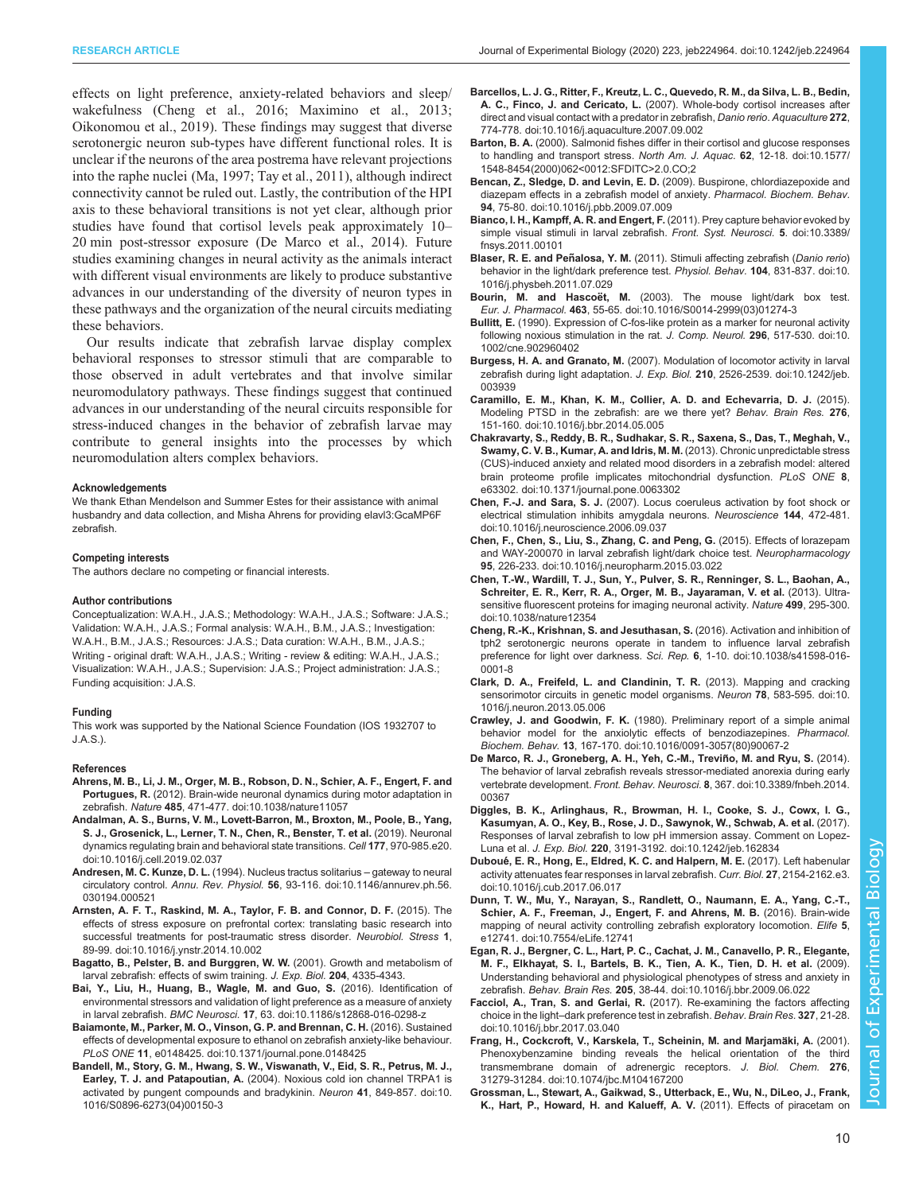<span id="page-9-0"></span>effects on light preference, anxiety-related behaviors and sleep/ wakefulness (Cheng et al., 2016; [Maximino et al., 2013](#page-10-0); [Oikonomou et al., 2019\)](#page-10-0). These findings may suggest that diverse serotonergic neuron sub-types have different functional roles. It is unclear if the neurons of the area postrema have relevant projections into the raphe nuclei [\(Ma, 1997](#page-10-0); [Tay et al., 2011\)](#page-11-0), although indirect connectivity cannot be ruled out. Lastly, the contribution of the HPI axis to these behavioral transitions is not yet clear, although prior studies have found that cortisol levels peak approximately 10– 20 min post-stressor exposure (De Marco et al., 2014). Future studies examining changes in neural activity as the animals interact with different visual environments are likely to produce substantive advances in our understanding of the diversity of neuron types in these pathways and the organization of the neural circuits mediating these behaviors.

Our results indicate that zebrafish larvae display complex behavioral responses to stressor stimuli that are comparable to those observed in adult vertebrates and that involve similar neuromodulatory pathways. These findings suggest that continued advances in our understanding of the neural circuits responsible for stress-induced changes in the behavior of zebrafish larvae may contribute to general insights into the processes by which neuromodulation alters complex behaviors.

#### Acknowledgements

We thank Ethan Mendelson and Summer Estes for their assistance with animal husbandry and data collection, and Misha Ahrens for providing elavl3:GcaMP6F zebrafish.

#### Competing interests

The authors declare no competing or financial interests.

#### Author contributions

Conceptualization: W.A.H., J.A.S.; Methodology: W.A.H., J.A.S.; Software: J.A.S.; Validation: W.A.H., J.A.S.; Formal analysis: W.A.H., B.M., J.A.S.; Investigation: W.A.H., B.M., J.A.S.; Resources: J.A.S.; Data curation: W.A.H., B.M., J.A.S.; Writing - original draft: W.A.H., J.A.S.; Writing - review & editing: W.A.H., J.A.S.; Visualization: W.A.H., J.A.S.; Supervision: J.A.S.; Project administration: J.A.S.; Funding acquisition: J.A.S.

#### Funding

This work was supported by the National Science Foundation (IOS 1932707 to J.A.S.).

#### References

- [Ahrens, M. B., Li, J. M., Orger, M. B., Robson, D. N., Schier, A. F., Engert, F. and](https://doi.org/10.1038/nature11057) Portugues, R. [\(2012\). Brain-wide neuronal dynamics during motor adaptation in](https://doi.org/10.1038/nature11057) zebrafish. Nature 485[, 471-477. doi:10.1038/nature11057](https://doi.org/10.1038/nature11057)
- [Andalman, A. S., Burns, V. M., Lovett-Barron, M., Broxton, M., Poole, B., Yang,](https://doi.org/10.1016/j.cell.2019.02.037) [S. J., Grosenick, L., Lerner, T. N., Chen, R., Benster, T. et al.](https://doi.org/10.1016/j.cell.2019.02.037) (2019). Neuronal [dynamics regulating brain and behavioral state transitions.](https://doi.org/10.1016/j.cell.2019.02.037) Cell 177, 970-985.e20. [doi:10.1016/j.cell.2019.02.037](https://doi.org/10.1016/j.cell.2019.02.037)
- Andresen, M. C. Kunze, D. L. [\(1994\). Nucleus tractus solitarius](https://doi.org/10.1146/annurev.ph.56.030194.000521) gateway to neural circulatory control. Annu. Rev. Physiol. 56[, 93-116. doi:10.1146/annurev.ph.56.](https://doi.org/10.1146/annurev.ph.56.030194.000521) [030194.000521](https://doi.org/10.1146/annurev.ph.56.030194.000521)
- [Arnsten, A. F. T., Raskind, M. A., Taylor, F. B. and Connor, D. F.](https://doi.org/10.1016/j.ynstr.2014.10.002) (2015). The [effects of stress exposure on prefrontal cortex: translating basic research into](https://doi.org/10.1016/j.ynstr.2014.10.002) [successful treatments for post-traumatic stress disorder.](https://doi.org/10.1016/j.ynstr.2014.10.002) Neurobiol. Stress 1, [89-99. doi:10.1016/j.ynstr.2014.10.002](https://doi.org/10.1016/j.ynstr.2014.10.002)
- Bagatto, B., Pelster, B. and Burggren, W. W. (2001). Growth and metabolism of larval zebrafish: effects of swim training. J. Exp. Biol. 204, 4335-4343.
- [Bai, Y., Liu, H., Huang, B., Wagle, M. and Guo, S.](https://doi.org/10.1186/s12868-016-0298-z) (2016). Identification of [environmental stressors and validation of light preference as a measure of anxiety](https://doi.org/10.1186/s12868-016-0298-z) in larval zebrafish. BMC Neurosci. 17[, 63. doi:10.1186/s12868-016-0298-z](https://doi.org/10.1186/s12868-016-0298-z)
- [Baiamonte, M., Parker, M. O., Vinson, G. P. and Brennan, C. H.](https://doi.org/10.1371/journal.pone.0148425) (2016). Sustained [effects of developmental exposure to ethanol on zebrafish anxiety-like behaviour.](https://doi.org/10.1371/journal.pone.0148425) PLoS ONE 11[, e0148425. doi:10.1371/journal.pone.0148425](https://doi.org/10.1371/journal.pone.0148425)
- [Bandell, M., Story, G. M., Hwang, S. W., Viswanath, V., Eid, S. R., Petrus, M. J.,](https://doi.org/10.1016/S0896-6273(04)00150-3) Earley, T. J. and Patapoutian, A. [\(2004\). Noxious cold ion channel TRPA1 is](https://doi.org/10.1016/S0896-6273(04)00150-3) [activated by pungent compounds and bradykinin.](https://doi.org/10.1016/S0896-6273(04)00150-3) Neuron 41, 849-857. doi:10. [1016/S0896-6273\(04\)00150-3](https://doi.org/10.1016/S0896-6273(04)00150-3)

[Barcellos, L. J. G., Ritter, F., Kreutz, L. C., Quevedo, R. M., da Silva, L. B., Bedin,](https://doi.org/10.1016/j.aquaculture.2007.09.002) A. C., Finco, J. and Cericato, L. [\(2007\). Whole-body cortisol increases after](https://doi.org/10.1016/j.aquaculture.2007.09.002)

- [direct and visual contact with a predator in zebrafish,](https://doi.org/10.1016/j.aquaculture.2007.09.002) Danio rerio. Aquaculture 272, [774-778. doi:10.1016/j.aquaculture.2007.09.002](https://doi.org/10.1016/j.aquaculture.2007.09.002)
- Barton, B. A. [\(2000\). Salmonid fishes differ in their cortisol and glucose responses](https://doi.org/10.1577/1548-8454(2000)062%3C0012:SFDITC%3E2.0.CO;2) [to handling and transport stress.](https://doi.org/10.1577/1548-8454(2000)062%3C0012:SFDITC%3E2.0.CO;2) North Am. J. Aquac. 62, 12-18. doi:10.1577/ [1548-8454\(2000\)062<0012:SFDITC>2.0.CO;2](https://doi.org/10.1577/1548-8454(2000)062%3C0012:SFDITC%3E2.0.CO;2)
- [Bencan, Z., Sledge, D. and Levin, E. D.](https://doi.org/10.1016/j.pbb.2009.07.009) (2009). Buspirone, chlordiazepoxide and [diazepam effects in a zebrafish model of anxiety.](https://doi.org/10.1016/j.pbb.2009.07.009) Pharmacol. Biochem. Behav. 94[, 75-80. doi:10.1016/j.pbb.2009.07.009](https://doi.org/10.1016/j.pbb.2009.07.009)
- [Bianco, I. H., Kampff, A. R. and Engert, F.](https://doi.org/10.3389/fnsys.2011.00101) (2011). Prey capture behavior evoked by [simple visual stimuli in larval zebrafish.](https://doi.org/10.3389/fnsys.2011.00101) Front. Syst. Neurosci. 5. doi:10.3389/ [fnsys.2011.00101](https://doi.org/10.3389/fnsys.2011.00101)
- Blaser, R. E. and Peñalosa, Y. M. [\(2011\). Stimuli affecting zebrafish \(](https://doi.org/10.1016/j.physbeh.2011.07.029)Danio rerio) [behavior in the light/dark preference test.](https://doi.org/10.1016/j.physbeh.2011.07.029) Physiol. Behav. 104, 831-837. doi:10. [1016/j.physbeh.2011.07.029](https://doi.org/10.1016/j.physbeh.2011.07.029)
- Bourin, M. and Hascoët, M. [\(2003\). The mouse light/dark box test.](https://doi.org/10.1016/S0014-2999(03)01274-3) Eur. J. Pharmacol. 463[, 55-65. doi:10.1016/S0014-2999\(03\)01274-3](https://doi.org/10.1016/S0014-2999(03)01274-3)
- Bullitt, E. [\(1990\). Expression of C-fos-like protein as a marker for neuronal activity](https://doi.org/10.1002/cne.902960402) [following noxious stimulation in the rat.](https://doi.org/10.1002/cne.902960402) J. Comp. Neurol. 296, 517-530. doi:10. [1002/cne.902960402](https://doi.org/10.1002/cne.902960402)
- Burgess, H. A. and Granato, M. [\(2007\). Modulation of locomotor activity in larval](https://doi.org/10.1242/jeb.003939) [zebrafish during light adaptation.](https://doi.org/10.1242/jeb.003939) J. Exp. Biol. 210, 2526-2539. doi:10.1242/jeb. [003939](https://doi.org/10.1242/jeb.003939)
- [Caramillo, E. M., Khan, K. M., Collier, A. D. and Echevarria, D. J.](https://doi.org/10.1016/j.bbr.2014.05.005) (2015). [Modeling PTSD in the zebrafish: are we there yet?](https://doi.org/10.1016/j.bbr.2014.05.005) Behav. Brain Res. 276, [151-160. doi:10.1016/j.bbr.2014.05.005](https://doi.org/10.1016/j.bbr.2014.05.005)
- [Chakravarty, S., Reddy, B. R., Sudhakar, S. R., Saxena, S., Das, T., Meghah, V.,](https://doi.org/10.1371/journal.pone.0063302) [Swamy, C. V. B., Kumar, A. and Idris, M. M.](https://doi.org/10.1371/journal.pone.0063302) (2013). Chronic unpredictable stress [\(CUS\)-induced anxiety and related mood disorders in a zebrafish model: altered](https://doi.org/10.1371/journal.pone.0063302) [brain proteome profile implicates mitochondrial dysfunction.](https://doi.org/10.1371/journal.pone.0063302) PLoS ONE 8, [e63302. doi:10.1371/journal.pone.0063302](https://doi.org/10.1371/journal.pone.0063302)
- Chen, F.-J. and Sara, S. J. [\(2007\). Locus coeruleus activation by foot shock or](https://doi.org/10.1016/j.neuroscience.2006.09.037) [electrical stimulation inhibits amygdala neurons.](https://doi.org/10.1016/j.neuroscience.2006.09.037) Neuroscience 144, 472-481. [doi:10.1016/j.neuroscience.2006.09.037](https://doi.org/10.1016/j.neuroscience.2006.09.037)
- [Chen, F., Chen, S., Liu, S., Zhang, C. and Peng, G.](https://doi.org/10.1016/j.neuropharm.2015.03.022) (2015). Effects of lorazepam [and WAY-200070 in larval zebrafish light/dark choice test.](https://doi.org/10.1016/j.neuropharm.2015.03.022) Neuropharmacology 95[, 226-233. doi:10.1016/j.neuropharm.2015.03.022](https://doi.org/10.1016/j.neuropharm.2015.03.022)
- [Chen, T.-W., Wardill, T. J., Sun, Y., Pulver, S. R., Renninger, S. L., Baohan, A.,](https://doi.org/10.1038/nature12354) [Schreiter, E. R., Kerr, R. A., Orger, M. B., Jayaraman, V. et al.](https://doi.org/10.1038/nature12354) (2013). Ultra[sensitive fluorescent proteins for imaging neuronal activity.](https://doi.org/10.1038/nature12354) Nature 499, 295-300. [doi:10.1038/nature12354](https://doi.org/10.1038/nature12354)
- [Cheng, R.-K., Krishnan, S. and Jesuthasan, S.](https://doi.org/10.1038/s41598-016-0001-8) (2016). Activation and inhibition of [tph2 serotonergic neurons operate in tandem to influence larval zebrafish](https://doi.org/10.1038/s41598-016-0001-8) [preference for light over darkness.](https://doi.org/10.1038/s41598-016-0001-8) Sci. Rep. 6, 1-10. doi:10.1038/s41598-016- [0001-8](https://doi.org/10.1038/s41598-016-0001-8)
- [Clark, D. A., Freifeld, L. and Clandinin, T. R.](https://doi.org/10.1016/j.neuron.2013.05.006) (2013). Mapping and cracking [sensorimotor circuits in genetic model organisms.](https://doi.org/10.1016/j.neuron.2013.05.006) Neuron 78, 583-595. doi:10. [1016/j.neuron.2013.05.006](https://doi.org/10.1016/j.neuron.2013.05.006)
- Crawley, J. and Goodwin, F. K. [\(1980\). Preliminary report of a simple animal](https://doi.org/10.1016/0091-3057(80)90067-2) [behavior model for the anxiolytic effects of benzodiazepines.](https://doi.org/10.1016/0091-3057(80)90067-2) Pharmacol. Biochem. Behav. 13[, 167-170. doi:10.1016/0091-3057\(80\)90067-2](https://doi.org/10.1016/0091-3057(80)90067-2)
- [De Marco, R. J., Groneberg, A. H., Yeh, C.-M., Trevin](https://doi.org/10.3389/fnbeh.2014.00367)̃ o, M. and Ryu, S. (2014). [The behavior of larval zebrafish reveals stressor-mediated anorexia during early](https://doi.org/10.3389/fnbeh.2014.00367) vertebrate development. Front. Behav. Neurosci. 8[, 367. doi:10.3389/fnbeh.2014.](https://doi.org/10.3389/fnbeh.2014.00367) [00367](https://doi.org/10.3389/fnbeh.2014.00367)
- [Diggles, B. K., Arlinghaus, R., Browman, H. I., Cooke, S. J., Cowx, I. G.,](https://doi.org/10.1242/jeb.162834) [Kasumyan, A. O., Key, B., Rose, J. D., Sawynok, W., Schwab, A. et al.](https://doi.org/10.1242/jeb.162834) (2017). [Responses of larval zebrafish to low pH immersion assay. Comment on Lopez-](https://doi.org/10.1242/jeb.162834)Luna et al. J. Exp. Biol. 220[, 3191-3192. doi:10.1242/jeb.162834](https://doi.org/10.1242/jeb.162834)
- Duboué[, E. R., Hong, E., Eldred, K. C. and Halpern, M. E.](https://doi.org/10.1016/j.cub.2017.06.017) (2017). Left habenular [activity attenuates fear responses in larval zebrafish.](https://doi.org/10.1016/j.cub.2017.06.017) Curr. Biol. 27, 2154-2162.e3. [doi:10.1016/j.cub.2017.06.017](https://doi.org/10.1016/j.cub.2017.06.017)
- [Dunn, T. W., Mu, Y., Narayan, S., Randlett, O., Naumann, E. A., Yang, C.-T.,](https://doi.org/10.7554/eLife.12741) [Schier, A. F., Freeman, J., Engert, F. and Ahrens, M. B.](https://doi.org/10.7554/eLife.12741) (2016). Brain-wide [mapping of neural activity controlling zebrafish exploratory locomotion.](https://doi.org/10.7554/eLife.12741) Elife 5, [e12741. doi:10.7554/eLife.12741](https://doi.org/10.7554/eLife.12741)
- [Egan, R. J., Bergner, C. L., Hart, P. C., Cachat, J. M., Canavello, P. R., Elegante,](https://doi.org/10.1016/j.bbr.2009.06.022) [M. F., Elkhayat, S. I., Bartels, B. K., Tien, A. K., Tien, D. H. et al.](https://doi.org/10.1016/j.bbr.2009.06.022) (2009). [Understanding behavioral and physiological phenotypes of stress and anxiety in](https://doi.org/10.1016/j.bbr.2009.06.022) zebrafish. Behav. Brain Res. 205[, 38-44. doi:10.1016/j.bbr.2009.06.022](https://doi.org/10.1016/j.bbr.2009.06.022)
- Facciol, A., Tran, S. and Gerlai, R. [\(2017\). Re-examining the factors affecting](https://doi.org/10.1016/j.bbr.2017.03.040) choice in the light–[dark preference test in zebrafish.](https://doi.org/10.1016/j.bbr.2017.03.040) Behav. Brain Res. 327, 21-28. [doi:10.1016/j.bbr.2017.03.040](https://doi.org/10.1016/j.bbr.2017.03.040)
- Frang, H., Cockcroft, V., Karskela, T., Scheinin, M. and Marjamäki, A. (2001). [Phenoxybenzamine binding reveals the helical orientation of the third](https://doi.org/10.1074/jbc.M104167200) [transmembrane domain of adrenergic receptors.](https://doi.org/10.1074/jbc.M104167200) J. Biol. Chem. 276, [31279-31284. doi:10.1074/jbc.M104167200](https://doi.org/10.1074/jbc.M104167200)
- [Grossman, L., Stewart, A., Gaikwad, S., Utterback, E., Wu, N., DiLeo, J., Frank,](https://doi.org/10.1016/j.brainresbull.2011.02.008) [K., Hart, P., Howard, H. and Kalueff, A. V.](https://doi.org/10.1016/j.brainresbull.2011.02.008) (2011). Effects of piracetam on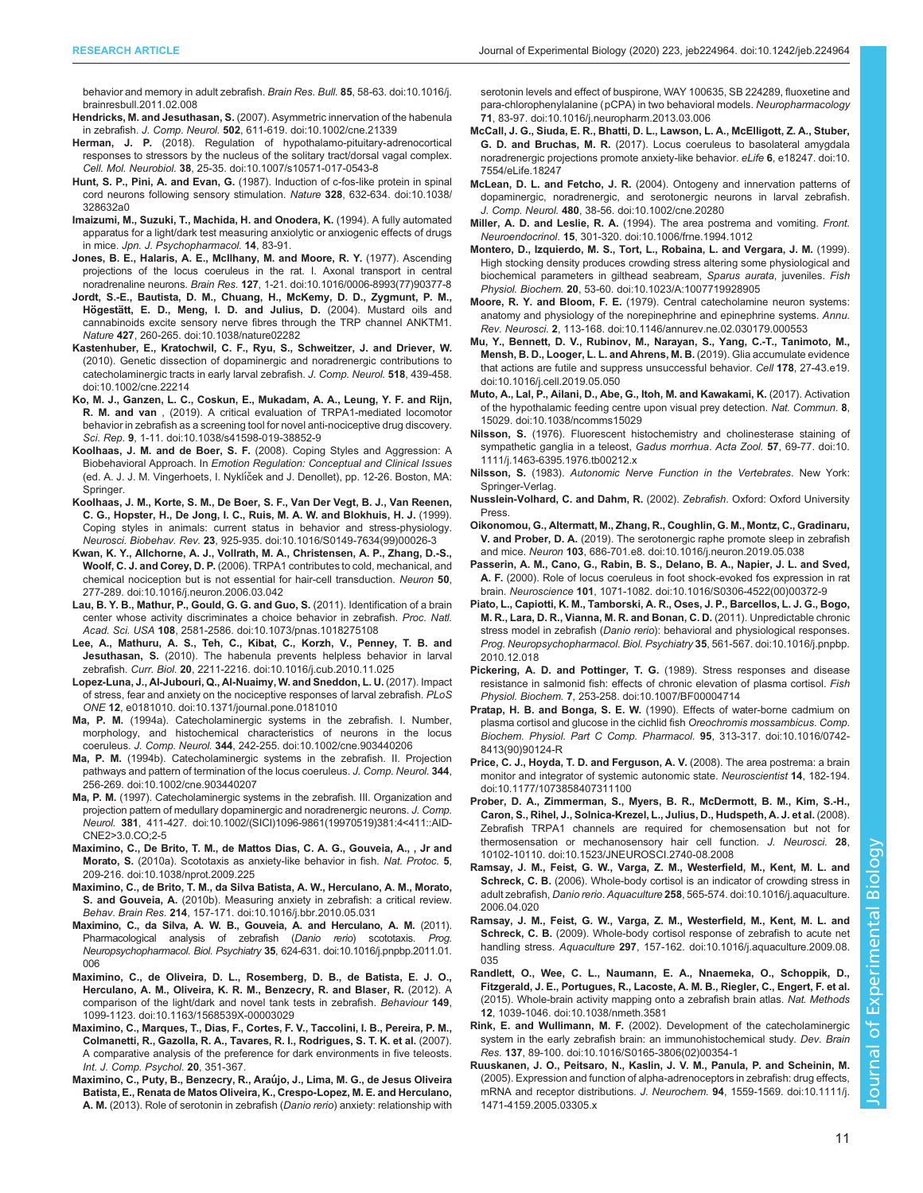<span id="page-10-0"></span>[behavior and memory in adult zebrafish.](https://doi.org/10.1016/j.brainresbull.2011.02.008) Brain Res. Bull. 85, 58-63. doi:10.1016/j. [brainresbull.2011.02.008](https://doi.org/10.1016/j.brainresbull.2011.02.008)

Hendricks, M. and Jesuthasan, S. [\(2007\). Asymmetric innervation of the habenula](https://doi.org/10.1002/cne.21339) in zebrafish. J. Comp. Neurol. 502[, 611-619. doi:10.1002/cne.21339](https://doi.org/10.1002/cne.21339)

- Herman, J. P. [\(2018\). Regulation of hypothalamo-pituitary-adrenocortical](https://doi.org/10.1007/s10571-017-0543-8) [responses to stressors by the nucleus of the solitary tract/dorsal vagal complex.](https://doi.org/10.1007/s10571-017-0543-8) Cell. Mol. Neurobiol. 38[, 25-35. doi:10.1007/s10571-017-0543-8](https://doi.org/10.1007/s10571-017-0543-8)
- Hunt, S. P., Pini, A. and Evan, G. [\(1987\). Induction of c-fos-like protein in spinal](https://doi.org/10.1038/328632a0) [cord neurons following sensory stimulation.](https://doi.org/10.1038/328632a0) Nature 328, 632-634. doi:10.1038/ [328632a0](https://doi.org/10.1038/328632a0)
- Imaizumi, M., Suzuki, T., Machida, H. and Onodera, K. (1994). A fully automated apparatus for a light/dark test measuring anxiolytic or anxiogenic effects of drugs in mice. Jpn. J. Psychopharmacol. 14, 83-91.
- [Jones, B. E., Halaris, A. E., McIlhany, M. and Moore, R. Y.](https://doi.org/10.1016/0006-8993(77)90377-8) (1977). Ascending [projections of the locus coeruleus in the rat. I. Axonal transport in central](https://doi.org/10.1016/0006-8993(77)90377-8) noradrenaline neurons. Brain Res. 127[, 1-21. doi:10.1016/0006-8993\(77\)90377-8](https://doi.org/10.1016/0006-8993(77)90377-8)
- [Jordt, S.-E., Bautista, D. M., Chuang, H., McKemy, D. D., Zygmunt, P. M.,](https://doi.org/10.1038/nature02282) Högestä[tt, E. D., Meng, I. D. and Julius, D.](https://doi.org/10.1038/nature02282) (2004). Mustard oils and [cannabinoids excite sensory nerve fibres through the TRP channel ANKTM1.](https://doi.org/10.1038/nature02282) Nature 427[, 260-265. doi:10.1038/nature02282](https://doi.org/10.1038/nature02282)
- [Kastenhuber, E., Kratochwil, C. F., Ryu, S., Schweitzer, J. and Driever, W.](https://doi.org/10.1002/cne.22214) [\(2010\). Genetic dissection of dopaminergic and noradrenergic contributions to](https://doi.org/10.1002/cne.22214) [catecholaminergic tracts in early larval zebrafish.](https://doi.org/10.1002/cne.22214) J. Comp. Neurol. 518, 439-458. [doi:10.1002/cne.22214](https://doi.org/10.1002/cne.22214)
- [Ko, M. J., Ganzen, L. C., Coskun, E., Mukadam, A. A., Leung, Y. F. and Rijn,](https://doi.org/10.1038/s41598-019-38852-9) R. M. and van [, \(2019\). A critical evaluation of TRPA1-mediated locomotor](https://doi.org/10.1038/s41598-019-38852-9) [behavior in zebrafish as a screening tool for novel anti-nociceptive drug discovery.](https://doi.org/10.1038/s41598-019-38852-9) Sci. Rep. 9[, 1-11. doi:10.1038/s41598-019-38852-9](https://doi.org/10.1038/s41598-019-38852-9)
- Koolhaas, J. M. and de Boer, S. F. (2008). Coping Styles and Aggression: A Biobehavioral Approach. In Emotion Regulation: Conceptual and Clinical Issues (ed. A. J. J. M. Vingerhoets, I. Nyklíček and J. Denollet), pp. 12-26. Boston, MA: Springer.
- [Koolhaas, J. M., Korte, S. M., De Boer, S. F., Van Der Vegt, B. J., Van Reenen,](https://doi.org/10.1016/S0149-7634(99)00026-3) [C. G., Hopster, H., De Jong, I. C., Ruis, M. A. W. and Blokhuis, H. J.](https://doi.org/10.1016/S0149-7634(99)00026-3) (1999). [Coping styles in animals: current status in behavior and stress-physiology.](https://doi.org/10.1016/S0149-7634(99)00026-3) Neurosci. Biobehav. Rev. 23[, 925-935. doi:10.1016/S0149-7634\(99\)00026-3](https://doi.org/10.1016/S0149-7634(99)00026-3)
- [Kwan, K. Y., Allchorne, A. J., Vollrath, M. A., Christensen, A. P., Zhang, D.-S.,](https://doi.org/10.1016/j.neuron.2006.03.042) Woolf, C. J. and Corey, D. P. [\(2006\). TRPA1 contributes to cold, mechanical, and](https://doi.org/10.1016/j.neuron.2006.03.042) [chemical nociception but is not essential for hair-cell transduction.](https://doi.org/10.1016/j.neuron.2006.03.042) Neuron 50, [277-289. doi:10.1016/j.neuron.2006.03.042](https://doi.org/10.1016/j.neuron.2006.03.042)
- [Lau, B. Y. B., Mathur, P., Gould, G. G. and Guo, S.](https://doi.org/10.1073/pnas.1018275108) (2011). Identification of a brain [center whose activity discriminates a choice behavior in zebrafish.](https://doi.org/10.1073/pnas.1018275108) Proc. Natl. Acad. Sci. USA 108[, 2581-2586. doi:10.1073/pnas.1018275108](https://doi.org/10.1073/pnas.1018275108)
- [Lee, A., Mathuru, A. S., Teh, C., Kibat, C., Korzh, V., Penney, T. B. and](https://doi.org/10.1016/j.cub.2010.11.025) Jesuthasan, S. [\(2010\). The habenula prevents helpless behavior in larval](https://doi.org/10.1016/j.cub.2010.11.025) zebrafish. Curr. Biol. 20[, 2211-2216. doi:10.1016/j.cub.2010.11.025](https://doi.org/10.1016/j.cub.2010.11.025)
- [Lopez-Luna, J., Al-Jubouri, Q., Al-Nuaimy, W. and Sneddon, L. U.](https://doi.org/10.1371/journal.pone.0181010) (2017). Impact [of stress, fear and anxiety on the nociceptive responses of larval zebrafish.](https://doi.org/10.1371/journal.pone.0181010) PLoS ONE 12[, e0181010. doi:10.1371/journal.pone.0181010](https://doi.org/10.1371/journal.pone.0181010)
- Ma, P. M. [\(1994a\). Catecholaminergic systems in the zebrafish. I. Number,](https://doi.org/10.1002/cne.903440206) [morphology, and histochemical characteristics of neurons in the locus](https://doi.org/10.1002/cne.903440206) coeruleus. J. Comp. Neurol. 344[, 242-255. doi:10.1002/cne.903440206](https://doi.org/10.1002/cne.903440206)
- Ma, P. M. [\(1994b\). Catecholaminergic systems in the zebrafish. II. Projection](https://doi.org/10.1002/cne.903440207) [pathways and pattern of termination of the locus coeruleus.](https://doi.org/10.1002/cne.903440207) J. Comp. Neurol. 344, [256-269. doi:10.1002/cne.903440207](https://doi.org/10.1002/cne.903440207)
- Ma, P. M. [\(1997\). Catecholaminergic systems in the zebrafish. III. Organization and](https://doi.org/10.1002/(SICI)1096-9861(19970519)381:4%3C411::AID-CNE2%3E3.0.CO;2-5) [projection pattern of medullary dopaminergic and noradrenergic neurons.](https://doi.org/10.1002/(SICI)1096-9861(19970519)381:4%3C411::AID-CNE2%3E3.0.CO;2-5) J. Comp. Neurol. 381[, 411-427. doi:10.1002/\(SICI\)1096-9861\(19970519\)381:4<411::AID-](https://doi.org/10.1002/(SICI)1096-9861(19970519)381:4%3C411::AID-CNE2%3E3.0.CO;2-5)[CNE2>3.0.CO;2-5](https://doi.org/10.1002/(SICI)1096-9861(19970519)381:4%3C411::AID-CNE2%3E3.0.CO;2-5)
- [Maximino, C., De Brito, T. M., de Mattos Dias, C. A. G., Gouveia, A., , Jr and](https://doi.org/10.1038/nprot.2009.225) Morato, S. [\(2010a\). Scototaxis as anxiety-like behavior in fish.](https://doi.org/10.1038/nprot.2009.225) Nat. Protoc. 5, [209-216. doi:10.1038/nprot.2009.225](https://doi.org/10.1038/nprot.2009.225)
- [Maximino, C., de Brito, T. M., da Silva Batista, A. W., Herculano, A. M., Morato,](https://doi.org/10.1016/j.bbr.2010.05.031) S. and Gouveia, A. [\(2010b\). Measuring anxiety in zebrafish: a critical review.](https://doi.org/10.1016/j.bbr.2010.05.031) Behav. Brain Res. 214[, 157-171. doi:10.1016/j.bbr.2010.05.031](https://doi.org/10.1016/j.bbr.2010.05.031)
- [Maximino, C., da Silva, A. W. B., Gouveia, A. and Herculano, A. M.](https://doi.org/10.1016/j.pnpbp.2011.01.006) (2011). [Pharmacological analysis of zebrafish \(](https://doi.org/10.1016/j.pnpbp.2011.01.006)Danio rerio) scototaxis. Prog. [Neuropsychopharmacol. Biol. Psychiatry](https://doi.org/10.1016/j.pnpbp.2011.01.006) 35, 624-631. doi:10.1016/j.pnpbp.2011.01. [006](https://doi.org/10.1016/j.pnpbp.2011.01.006)
- [Maximino, C., de Oliveira, D. L., Rosemberg, D. B., de Batista, E. J. O.,](https://doi.org/10.1163/1568539X-00003029) [Herculano, A. M., Oliveira, K. R. M., Benzecry, R. and Blaser, R.](https://doi.org/10.1163/1568539X-00003029) (2012). A [comparison of the light/dark and novel tank tests in zebrafish.](https://doi.org/10.1163/1568539X-00003029) Behaviour 149, [1099-1123. doi:10.1163/1568539X-00003029](https://doi.org/10.1163/1568539X-00003029)
- Maximino, C., Marques, T., Dias, F., Cortes, F. V., Taccolini, I. B., Pereira, P. M., Colmanetti, R., Gazolla, R. A., Tavares, R. I., Rodrigues, S. T. K. et al. (2007). A comparative analysis of the preference for dark environments in five teleosts. Int. J. Comp. Psychol. 20, 351-367.
- [Maximino, C., Puty, B., Benzecry, R., Arau](https://doi.org/10.1016/j.neuropharm.2013.03.006)́jo, J., Lima, M. G., de Jesus Oliveira [Batista, E., Renata de Matos Oliveira, K., Crespo-Lopez, M. E. and Herculano,](https://doi.org/10.1016/j.neuropharm.2013.03.006) A. M. [\(2013\). Role of serotonin in zebrafish \(](https://doi.org/10.1016/j.neuropharm.2013.03.006)Danio rerio) anxiety: relationship with

[serotonin levels and effect of buspirone, WAY 100635, SB 224289, fluoxetine and](https://doi.org/10.1016/j.neuropharm.2013.03.006) [para-chlorophenylalanine \(pCPA\) in two behavioral models.](https://doi.org/10.1016/j.neuropharm.2013.03.006) Neuropharmacology 71[, 83-97. doi:10.1016/j.neuropharm.2013.03.006](https://doi.org/10.1016/j.neuropharm.2013.03.006)

- [McCall, J. G., Siuda, E. R., Bhatti, D. L., Lawson, L. A., McElligott, Z. A., Stuber,](https://doi.org/10.7554/eLife.18247) G. D. and Bruchas, M. R. [\(2017\). Locus coeruleus to basolateral amygdala](https://doi.org/10.7554/eLife.18247) [noradrenergic projections promote anxiety-like behavior.](https://doi.org/10.7554/eLife.18247) eLife 6, e18247. doi:10. [7554/eLife.18247](https://doi.org/10.7554/eLife.18247)
- McLean, D. L. and Fetcho, J. R. [\(2004\). Ontogeny and innervation patterns of](https://doi.org/10.1002/cne.20280) [dopaminergic, noradrenergic, and serotonergic neurons in larval zebrafish.](https://doi.org/10.1002/cne.20280) J. Comp. Neurol. 480[, 38-56. doi:10.1002/cne.20280](https://doi.org/10.1002/cne.20280)
- Miller, A. D. and Leslie, R. A. [\(1994\). The area postrema and vomiting.](https://doi.org/10.1006/frne.1994.1012) Front. Neuroendocrinol. 15[, 301-320. doi:10.1006/frne.1994.1012](https://doi.org/10.1006/frne.1994.1012)
- [Montero, D., Izquierdo, M. S., Tort, L., Robaina, L. and Vergara, J. M.](https://doi.org/10.1023/A:1007719928905) (1999). [High stocking density produces crowding stress altering some physiological and](https://doi.org/10.1023/A:1007719928905) [biochemical parameters in gilthead seabream,](https://doi.org/10.1023/A:1007719928905) Sparus aurata, juveniles. Fish Physiol. Biochem. 20[, 53-60. doi:10.1023/A:1007719928905](https://doi.org/10.1023/A:1007719928905)
- Moore, R. Y. and Bloom, F. E. [\(1979\). Central catecholamine neuron systems:](https://doi.org/10.1146/annurev.ne.02.030179.000553) [anatomy and physiology of the norepinephrine and epinephrine systems.](https://doi.org/10.1146/annurev.ne.02.030179.000553) Annu. Rev. Neurosci. 2[, 113-168. doi:10.1146/annurev.ne.02.030179.000553](https://doi.org/10.1146/annurev.ne.02.030179.000553)
- [Mu, Y., Bennett, D. V., Rubinov, M., Narayan, S., Yang, C.-T., Tanimoto, M.,](https://doi.org/10.1016/j.cell.2019.05.050) [Mensh, B. D., Looger, L. L. and Ahrens, M. B.](https://doi.org/10.1016/j.cell.2019.05.050) (2019). Glia accumulate evidence [that actions are futile and suppress unsuccessful behavior.](https://doi.org/10.1016/j.cell.2019.05.050) Cell 178, 27-43.e19. [doi:10.1016/j.cell.2019.05.050](https://doi.org/10.1016/j.cell.2019.05.050)
- [Muto, A., Lal, P., Ailani, D., Abe, G., Itoh, M. and Kawakami, K.](https://doi.org/10.1038/ncomms15029) (2017). Activation [of the hypothalamic feeding centre upon visual prey detection.](https://doi.org/10.1038/ncomms15029) Nat. Commun. 8, [15029. doi:10.1038/ncomms15029](https://doi.org/10.1038/ncomms15029)
- Nilsson, S. [\(1976\). Fluorescent histochemistry and cholinesterase staining of](https://doi.org/10.1111/j.1463-6395.1976.tb00212.x) [sympathetic ganglia in a teleost,](https://doi.org/10.1111/j.1463-6395.1976.tb00212.x) Gadus morrhua. Acta Zool. 57, 69-77. doi:10. [1111/j.1463-6395.1976.tb00212.x](https://doi.org/10.1111/j.1463-6395.1976.tb00212.x)
- Nilsson, S. (1983). Autonomic Nerve Function in the Vertebrates. New York: Springer-Verlag
- Nusslein-Volhard, C. and Dahm, R. (2002). Zebrafish. Oxford: Oxford University Press.
- [Oikonomou, G., Altermatt, M., Zhang, R., Coughlin, G. M., Montz, C., Gradinaru,](https://doi.org/10.1016/j.neuron.2019.05.038) V. and Prober, D. A. [\(2019\). The serotonergic raphe promote sleep in zebrafish](https://doi.org/10.1016/j.neuron.2019.05.038) and mice. Neuron 103[, 686-701.e8. doi:10.1016/j.neuron.2019.05.038](https://doi.org/10.1016/j.neuron.2019.05.038)
- [Passerin, A. M., Cano, G., Rabin, B. S., Delano, B. A., Napier, J. L. and Sved,](https://doi.org/10.1016/S0306-4522(00)00372-9) A. F. [\(2000\). Role of locus coeruleus in foot shock-evoked fos expression in rat](https://doi.org/10.1016/S0306-4522(00)00372-9) brain. Neuroscience 101[, 1071-1082. doi:10.1016/S0306-4522\(00\)00372-9](https://doi.org/10.1016/S0306-4522(00)00372-9)
- [Piato, L., Capiotti, K. M., Tamborski, A. R., Oses, J. P., Barcellos, L. J. G., Bogo,](https://doi.org/10.1016/j.pnpbp.2010.12.018) [M. R., Lara, D. R., Vianna, M. R. and Bonan, C. D.](https://doi.org/10.1016/j.pnpbp.2010.12.018) (2011). Unpredictable chronic stress model in zebrafish (Danio rerio[\): behavioral and physiological responses.](https://doi.org/10.1016/j.pnpbp.2010.12.018) [Prog. Neuropsychopharmacol. Biol. Psychiatry](https://doi.org/10.1016/j.pnpbp.2010.12.018) 35, 561-567. doi:10.1016/j.pnpbp. [2010.12.018](https://doi.org/10.1016/j.pnpbp.2010.12.018)
- [Pickering, A. D. and Pottinger, T. G.](https://doi.org/10.1007/BF00004714) (1989). Stress responses and disease [resistance in salmonid fish: effects of chronic elevation of plasma cortisol.](https://doi.org/10.1007/BF00004714) Fish Physiol. Biochem. 7[, 253-258. doi:10.1007/BF00004714](https://doi.org/10.1007/BF00004714)
- Pratap, H. B. and Bonga, S. E. W. [\(1990\). Effects of water-borne cadmium on](https://doi.org/10.1016/0742-8413(90)90124-R) [plasma cortisol and glucose in the cichlid fish](https://doi.org/10.1016/0742-8413(90)90124-R) Oreochromis mossambicus. Comp. [Biochem. Physiol. Part C Comp. Pharmacol.](https://doi.org/10.1016/0742-8413(90)90124-R) 95, 313-317. doi:10.1016/0742- [8413\(90\)90124-R](https://doi.org/10.1016/0742-8413(90)90124-R)
- [Price, C. J., Hoyda, T. D. and Ferguson, A. V.](https://doi.org/10.1177/1073858407311100) (2008). The area postrema: a brain [monitor and integrator of systemic autonomic state.](https://doi.org/10.1177/1073858407311100) Neuroscientist 14, 182-194. [doi:10.1177/1073858407311100](https://doi.org/10.1177/1073858407311100)
- [Prober, D. A., Zimmerman, S., Myers, B. R., McDermott, B. M., Kim, S.-H.,](https://doi.org/10.1523/JNEUROSCI.2740-08.2008) [Caron, S., Rihel, J., Solnica-Krezel, L., Julius, D., Hudspeth, A. J. et al.](https://doi.org/10.1523/JNEUROSCI.2740-08.2008) (2008). [Zebrafish TRPA1 channels are required for chemosensation but not for](https://doi.org/10.1523/JNEUROSCI.2740-08.2008) [thermosensation or mechanosensory hair cell function.](https://doi.org/10.1523/JNEUROSCI.2740-08.2008) J. Neurosci. 28, [10102-10110. doi:10.1523/JNEUROSCI.2740-08.2008](https://doi.org/10.1523/JNEUROSCI.2740-08.2008)
- [Ramsay, J. M., Feist, G. W., Varga, Z. M., Westerfield, M., Kent, M. L. and](https://doi.org/10.1016/j.aquaculture.2006.04.020) Schreck, C. B. [\(2006\). Whole-body cortisol is an indicator of crowding stress in](https://doi.org/10.1016/j.aquaculture.2006.04.020) adult zebrafish, Danio rerio. Aquaculture 258[, 565-574. doi:10.1016/j.aquaculture.](https://doi.org/10.1016/j.aquaculture.2006.04.020) [2006.04.020](https://doi.org/10.1016/j.aquaculture.2006.04.020)
- [Ramsay, J. M., Feist, G. W., Varga, Z. M., Westerfield, M., Kent, M. L. and](https://doi.org/10.1016/j.aquaculture.2009.08.035) Schreck, C. B. [\(2009\). Whole-body cortisol response of zebrafish to acute net](https://doi.org/10.1016/j.aquaculture.2009.08.035) handling stress. Aquaculture 297[, 157-162. doi:10.1016/j.aquaculture.2009.08.](https://doi.org/10.1016/j.aquaculture.2009.08.035) [035](https://doi.org/10.1016/j.aquaculture.2009.08.035)
- [Randlett, O., Wee, C. L., Naumann, E. A., Nnaemeka, O., Schoppik, D.,](https://doi.org/10.1038/nmeth.3581) [Fitzgerald, J. E., Portugues, R., Lacoste, A. M. B., Riegler, C., Engert, F. et al.](https://doi.org/10.1038/nmeth.3581) [\(2015\). Whole-brain activity mapping onto a zebrafish brain atlas.](https://doi.org/10.1038/nmeth.3581) Nat. Methods 12[, 1039-1046. doi:10.1038/nmeth.3581](https://doi.org/10.1038/nmeth.3581)
- Rink, E. and Wullimann, M. F. [\(2002\). Development of the catecholaminergic](https://doi.org/10.1016/S0165-3806(02)00354-1) [system in the early zebrafish brain: an immunohistochemical study.](https://doi.org/10.1016/S0165-3806(02)00354-1) Dev. Brain Res. 137[, 89-100. doi:10.1016/S0165-3806\(02\)00354-1](https://doi.org/10.1016/S0165-3806(02)00354-1)
- [Ruuskanen, J. O., Peitsaro, N., Kaslin, J. V. M., Panula, P. and Scheinin, M.](https://doi.org/10.1111/j.1471-4159.2005.03305.x) [\(2005\). Expression and function of alpha-adrenoceptors in zebrafish: drug effects,](https://doi.org/10.1111/j.1471-4159.2005.03305.x) [mRNA and receptor distributions.](https://doi.org/10.1111/j.1471-4159.2005.03305.x) J. Neurochem. 94, 1559-1569. doi:10.1111/j. [1471-4159.2005.03305.x](https://doi.org/10.1111/j.1471-4159.2005.03305.x)